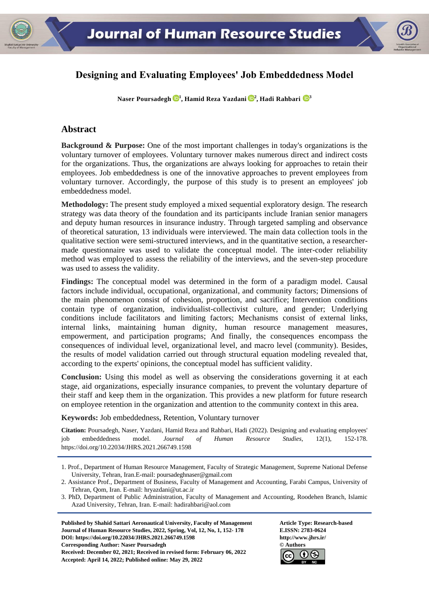

# **Designing and Evaluating Employees' Job Embeddedness Model**

**Naser Poursadegh <sup>1</sup> , Hamid Reza Yazdani <sup>2</sup> , Hadi Rahbari <sup>3</sup>**

# **Abstract**

**Background & Purpose:** One of the most important challenges in today's organizations is the voluntary turnover of employees. Voluntary turnover makes numerous direct and indirect costs for the organizations. Thus, the organizations are always looking for approaches to retain their employees. Job embeddedness is one of the innovative approaches to prevent employees from voluntary turnover. Accordingly, the purpose of this study is to present an employees' job embeddedness model.

**Methodology:** The present study employed a mixed sequential exploratory design. The research strategy was data theory of the foundation and its participants include Iranian senior managers and deputy human resources in insurance industry. Through targeted sampling and observance of theoretical saturation, 13 individuals were interviewed. The main data collection tools in the qualitative section were semi-structured interviews, and in the quantitative section, a researchermade questionnaire was used to validate the conceptual model. The inter-coder reliability method was employed to assess the reliability of the interviews, and the seven-step procedure was used to assess the validity.

**Findings:** The conceptual model was determined in the form of a paradigm model. Causal factors include individual, occupational, organizational, and community factors; Dimensions of the main phenomenon consist of cohesion, proportion, and sacrifice; Intervention conditions contain type of organization, individualist-collectivist culture, and gender; Underlying conditions include facilitators and limiting factors; Mechanisms consist of external links, internal links, maintaining human dignity, human resource management measures, empowerment, and participation programs; And finally, the consequences encompass the consequences of individual level, organizational level, and macro level (community). Besides, the results of model validation carried out through structural equation modeling revealed that, according to the experts' opinions, the conceptual model has sufficient validity.

**Conclusion:** Using this model as well as observing the considerations governing it at each stage, aid organizations, especially insurance companies, to prevent the voluntary departure of their staff and keep them in the organization. This provides a new platform for future research on employee retention in the organization and attention to the community context in this area.

**Keywords:** Job embeddedness, Retention, Voluntary turnover

**Citation:** Poursadegh, Naser, Yazdani, Hamid Reza and Rahbari, Hadi (2022). Designing and evaluating employees' job embeddedness model. *Journal of Human Resource Studies*, 12(1), 152-178. https://doi.org[/10.22034/JHRS.2021.266749.1598](https://dx.doi.org/10.22034/jhrs.2021.266749.1598)

**Published by Shahid Sattari Aeronautical University, Faculty of Management Article Type: Research-based Journal of Human Resource Studies, 2022, Spring, Vol, 12, No, 1, 152- 178 E.ISSN: 2783-0624 DOI: https://doi.or[g/10.22034/JHRS.2021.266749.1598](https://dx.doi.org/10.22034/jhrs.2021.266749.1598) http://www.jhrs.ir/ Corresponding Author: Naser Poursadegh © Authors Received: December 02, 2021; Received in revised form: February 06, 2022 Accepted: April 14, 2022; Published online: May 29, 2022**



<sup>1.</sup> Prof., Department of Human Resource Management, Faculty of Strategic Management, Supreme National Defense University, Tehran, Iran.E-mail: poursadeghnaser@gmail.com

<sup>2.</sup> Assistance Prof., Department of Business, Faculty of Management and Accounting, Farabi Campus, University of Tehran, Qom, Iran. E-mail: hryazdani@ut.ac.ir

<sup>3.</sup> PhD, Department of Public Administration, Faculty of Management and Accounting, Roodehen Branch, Islamic Azad University, Tehran, Iran. E-mail: [hadirahbari@aol.com](mailto:hadirahbari@AOL.com)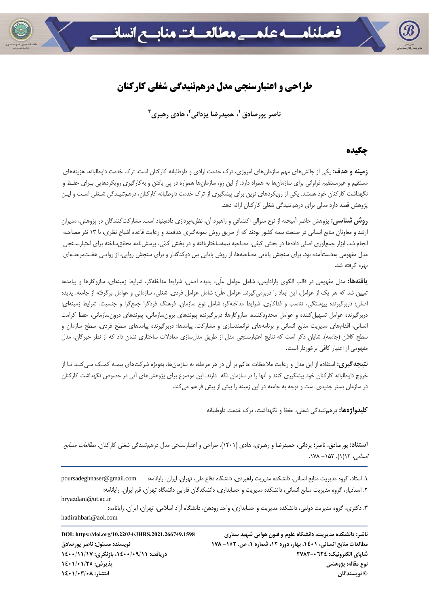

# **طراحي و اعتبارسنجي مدل درهمتنيدگي شغلي كاركنان**

**<sup>3</sup>، هادي رهبري <sup>2</sup> ، حميدرضا يزداني <sup>1</sup> ناصر پورصادق**

## **چكيده**

**زمينه و هدف:** يكي از چالشهاي مهم سازمانهاي امروزي، ترك خدمت ارادي و داوطلبانه كاركنان است. ترك خدمت داوطلبانه، هزينههاي مستقيم و غيرمستقيم فراواني براي سازمانها به همراه دارد. از اين رو، سازمانها همواره در پي يافتن و بهكارگيري رويكردهايي بـراي حفـظ و نگهداشت كاركنان خود هستند. يكي از رويكردهاي نوين براي پيشگيري از ترك خدمت داوطلبانه كاركنان، درهمتنيـدگي شـغلي اسـت و ايـن پژوهش قصد دارد مدلي براي درهمتنيدگي شغلي كاركنان ارائه دهد.

**روششناسي:** پژوهش حاضر آميخته از نوع متوالي اكتشافي و راهبرد آن، نظريهپردازي دادهبنياد است. مشاركتكنندگان در پژوهش، مديران ارشد و معاونان منابع انساني در صنعت بيمه كشور بودند كه از طريق روش نمونهگيري هدفمند و رعايت قاعده اشباع نظري، با 13 نفر مصاحبه انجام شد. ابزار جمعآوري اصلي دادهها در بخش كيفي، مصاحبه نيمهساختاريافته و در بخش كمي، پرسشنامه محققساخته براي اعتبارسـنجي مدل مفهومي بهدستآمده بود. براي سنجش پايايي مصاحبهها، از روش پايايي بين دوكدگذار و براي سنجش روايي، از روايـي هفـتمرحلـهاي بهره گرفته شد.

**يافتهها:** مدل مفهومي در قالب الگوي پارادايمي، شامل عوامل علّي، پديده اصلي، شرايط مداخلهگر، شرايط زمينهاي، سازوكارها و پيامدها تعيين شد كه هر يك از عوامل، اين ابعاد را دربرميگيرند. عوامل علّي: شامل عوامل فردي، شغلي، سازماني و عوامل برگرفته از جامعه. پديده اصلي: دربرگيرنده پيوستگي، تناسب و فداكاري. شرايط مداخلهگر: شامل نوع سازمان، فرهنگ فردگرا جمعگرا و جنسيت. شرايط زمينهاي: دربرگيرنده عوامل تسهيلكننده و عوامل محدودكننده. سازوكارها: دربرگيرنده پيوندهاي برونسازماني، پيوندهاي درونسازماني، حفظ كرامت انساني، اقدامهاي مديريت منابع انساني و برنامههاي توانمندسازي و مشاركت. پيامدها: دربرگيرنده پيامدهاي سطح فردي، سطح سازمان و سطح كلان (جامعه). شايان ذكر است كه نتايج اعتبارسنجي مدل از طريق مدلسازي معادلات ساختاري نشان داد كه از نظر خبرگان، مدل مفهومي از اعتبار كافي برخوردار است.

**نتيجهگيري:** استفاده از اين مدل و رعايت ملاحظات حاكم بر آن در هر مرحله، به سازمانها، بهويژه شركتهاي بيمـه كمـك مـيكنـد تـا از خروج داوطلبانه كاركنان خود پيشگيري كنند و آنها را در سازمان نگه دارند. اين موضوع براي پژوهشهاي آتي در خصوص نگهداشت كاركنان در سازمان بستر جديدي است و توجه به جامعه در اين زمينه را بيش از پيش فراهم ميكند.

**كليدواژهها:** درهمتنيدگي شغلي، حفظ و نگهداشت، ترك خدمت داوطلبانه

**استناد:** پورصادق، ناصر؛ يزداني، حميدرضا و رهبري، هادي (1401). طراحي و اعتبارسنجي مدل درهمتنيدگي شغلي كاركنان. مطالعات منـابع  $112(1)$ ، 107 - ۱۷۸ .

.1 استاد، گروه مديريت منابع انساني، دانشكده مديريت راهبردي، دانشگاه دفاع ملي، تهران، ايران. رايانامه: com.gmail@poursadeghnaser .2 استاديار، گروه مديريت منابع انساني، دانشكده مديريت و حسابداري، دانشكدگان فارابي دانشگاه تهران، قم ايران. رايانامه:

hryazdani@ut.ac.ir .3 دكتري، گروه مديريت دولتي، دانشكده مديريت و حسابداري، واحد رودهن، دانشگاه آزاد اسلامي، تهران، ايران. رايانامه: hadirahbari@aol.com

**ناشر: دانشكده مديريت، دانشگاه علوم و فنون هوايي شهيد ستاري .2021.266749.1598JHRS/10.22034/org.doi://https :DOI مطالعات منابع انساني، ،1401 بهار، دوره ،12 شماره ،1 ص. -152 178 نويسنده مسئول: ناصر پورصادق شاپاي الكترونيك: 2783-0624 دريافت: ،1400/09/11 بازنگري: 1400/11/17 نوع مقاله: پژوهشي پذيرش: 1401/01/25 © نويسندگان انتشار: 1401/03/08**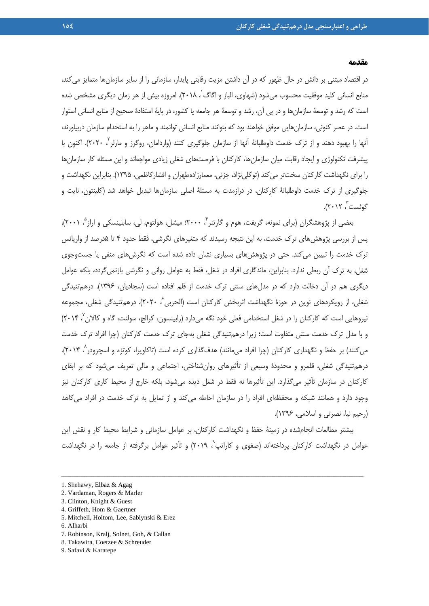#### **مقدمه**

در اقتصاد مبتني بر دانش در حال ظهور كه در آن داشتن مزيت رقابتي پايدار، سازماني را از ساير سازمانها متمايز ميكند، منابع انساني كليد موفقيت محسوب ميشود (شهاوي، الباز و اگاگ ٰ، ٢٠١٨). امروزه بيش از هر زمان ديگري مشخص شده است كه رشد و توسعة سازمانها و در پي آن، رشد و توسعة هر جامعه يا كشور، در پاية استفادة صحيح از منابع انساني استوار است. در عصر كنوني، سازمانهايي موفق خواهند بود كه بتوانند منابع انساني توانمند و ماهر را به استخدام سازمان دربياورند، آنها را بهبود دهند و از ترک خدمت داوطلبانهٔ آنها از سازمان جلوگيري كنند (واردامان، روگرز و مارلر '، ۲۰۲۰). اكنون با پيشرفت تكنولوژي و ايجاد رقابت ميان سازمانها، كاركنان با فرصتهاي شغلي زيادي مواجهاند و اين مسئله كار سازمانها را براي نگهداشت كاركنان سختتر ميكند (توكلينژاد، جزني، معمارزادهطهران و افشاركاظمي، 1395). بنابراين نگهداشت و جلوگيري از ترك خدمت داوطلبانة كاركنان، در درازمدت به مسئلة اصلي سازمانها تبديل خواهد شد (كلينتون، نايت و گوئست ، ۲۰۱۲).

بعضي از پژوهشگران (براي نمونه، گريفت، هوم و گارتنر <sup>۲</sup> ۲۰۰۰؛ ميشل، هولتوم، لي، سابلينسكي و اراز <sup>۵</sup> ۲۰۰۱)، پس از بررسي پژوهشهاي ترك خدمت، به اين نتيجه رسيدند كه متغيرهاي نگرشي، فقط حدود 4 تا 5درصد از واريانس ترك خدمت را تبيين ميكند. حتي در پژوهشهاي بسياري نشان داده شده است كه نگرشهاي منفي يا جستوجوي شغل، به ترك آن ربطي ندارد. بنابراين، ماندگاري افراد در شغل، فقط به عوامل رواني و نگرشي بازنميگردد، بلكه عوامل ديگري هم در آن دخالت دارد كه در مدلهاي سنتي ترك خدمت از قلم افتاده است (سجاديان، 1396). درهمتنيدگي شغلی، از رویکردهای نوین در حوزهٔ نگهداشت اثربخش کارکنان است (الحربی ٔ، ۲۰۲۰). درهم تنیدگی شغلی، مجموعه نيروهايي است كه كاركنان را در شغل استخدامي فعلي خود نگه ميدارد (رابينسون، كرالج، سولنت، گاه و كالان ، ۲۰۱۴) و با مدل ترك خدمت سنتي متفاوت است؛ زيرا درهمتنيدگي شغلي بهجاي ترك خدمت كاركنان (چرا افراد ترك خدمت میكنند) بر حفظ و نگهداری كاركنان (چرا افراد میمانند) هدف\$ذاری كرده است (تاكاویرا، كوتزه و اسچرودر^، ۲۰۱۴). درهمتنيدگي شغلي، قلمرو و محدودة وسيعي از تأثيرهاي روانشناختي، اجتماعي و مالي تعريف ميشود كه بر ابقاي كاركنان در سازمان تأثير ميگذارد. اين تأثيرها نه فقط در شغل ديده ميشود، بلكه خارج از محيط كاري كاركنان نيز وجود دارد و همانند شبكه و محفظهاي افراد را در سازمان احاطه ميكند و از تمايل به ترك خدمت در افراد ميكاهد (رحيم نيا، نصرتي و اسلامي، 1396).

بيشتر مطالعات انجامشده در زمينة حفظ و نگهداشت كاركنان، بر عوامل سازماني و شرايط محيط كار و نقش اين عوامل در نگهداشت كاركنان پرداختهاند (صفوى و كاراتپ<sup>؟</sup>، ٢٠١٩) و تأثير عوامل برگرفته از جامعه را در نگهداشت

- 5. Mitchell, Holtom, Lee, Sablynski & Erez
- 6. Alharbi
- 7. Robinson, Kralj, Solnet, Goh, & Callan
- 8. Takawira, Coetzee & Schreuder
- 9. Safavi & Karatepe

<sup>1.</sup> Shehawy, Elbaz & Agag

<sup>2.</sup> Vardaman, Rogers & Marler

<sup>3.</sup> Clinton, Knight & Guest

<sup>4.</sup> Griffeth, Hom & Gaertner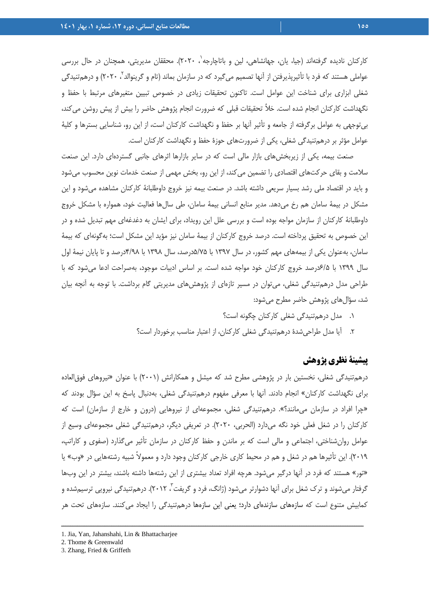كاركنان ناديده گرفتهاند (جيا، يان، جهانشاهي، لين و باتاچارجه`، ٢٠٢٠). محققان مديريتي، همچنان در حال بررسي عواملي هستند كه فرد با تأثيرپذيرفتن از آنها تصميم ميگيرد كه در سازمان بماند (تام و گرينوالد ٰ، ۲۰۲۰) و درهمتنيدگي شغلي ابزاري براي شناخت اين عوامل است. تاكنون تحقيقات زيادي در خصوص تبيين متغيرهاي مرتبط با حفظ و نگهداشت كاركنان انجام شده است. خلأ تحقيقات قبلي كه ضرورت انجام پژوهش حاضر را بيش از پيش روشن ميكند، بيتوجهي به عوامل برگرفته از جامعه و تأثير آنها بر حفظ و نگهداشت كاركنان است، از اين رو، شناسايي بسترها و كلية عوامل مؤثر بر درهمتنيدگي شغلي، يكي از ضرورتهاي حوزة حفظ و نگهداشت كاركنان است.

صنعت بيمه، يكي از زيربخشهاي بازار مالي است كه در ساير بازارها اثرهاي جانبي گستردهاي دارد. اين صنعت سلامت و بقاي حركتهاي اقتصادي را تضمين ميكند، از اين رو، بخش مهمي از صنعت خدمات نوين محسوب ميشود و بايد در اقتصاد ملي رشد بسيار سريعي داشته باشد. در صنعت بيمه نيز خروج داوطلبانة كاركنان مشاهده ميشود و اين مشكل در بيمة سامان هم رخ ميدهد. مدير منابع انساني بيمة سامان، طي سالها فعاليت خود، همواره با مشكل خروج داوطلبانة كاركنان از سازمان مواجه بوده است و بررسي علل اين رويداد، براي ايشان به دغدغهاي مهم تبديل شده و در اين خصوص به تحقيق پرداخته است. درصد خروج كاركنان از بيمة سامان نيز مؤيد اين مشكل است؛ بهگونهاي كه بيمة سامان، بهعنوان يكي از بيمههاي مهم كشور، در سال 1397 با 5/75درصد، سال 1398 با 4/98درصد و تا پايان نيمة اول سال 1399 با 6/5درصد خروج كاركنان خود مواجه شده است. بر اساس ادبيات موجود، بهصراحت ادعا ميشود كه با طراحي مدل درهمتنيدگي شغلي، ميتوان در مسير تازهاي از پژوهشهاي مديريتي گام برداشت. با توجه به آنچه بيان شد، سؤالهاي پژوهش حاضر مطرح ميشود:

- .1 مدل درهمتنيدگي شغلي كاركنان چگونه است؟
- .2 آيا مدل طراحيشدة درهمتنيدگي شغلي كاركنان، از اعتبار مناسب برخوردار است؟

## **پيشينة نظري پژوهش**

درهمتنيدگي شغلي، نخستين بار در پژوهشي مطرح شد كه ميشل و همكارانش (2001) با عنوان «نيروهاي فوقالعاده براي نگهداشت كاركنان» انجام دادند. آنها با معرفي مفهوم درهمتنيدگي شغلي، بهدنبال پاسخ به اين سؤال بودند كه «چرا افراد در سازمان ميمانند؟». درهمتنيدگي شغلي، مجموعهاي از نيروهايي (درون و خارج از سازمان) است كه كاركنان را در شغل فعلي خود نگه ميدارد (الحربي، 2020). در تعريفي ديگر، درهمتنيدگي شغلي مجموعهاي وسيع از عوامل روانشناختي، اجتماعي و مالي است كه بر ماندن و حفظ كاركنان در سازمان تأثير ميگذارد (صفوي و كاراتپ، 2019). اين تأثيرها هم در شغل و هم در محيط كاري خارجي كاركنان وجود دارد و معمولاً شبيه رشتههايي در «وب» يا «تور» هستند كه فرد در آنها درگير ميشود. هرچه افراد تعداد بيشتري از اين رشتهها داشته باشند، بيشتر در اين وبها گرفتار میشوند و ترک شغل برای آنها دشوارتر میشود (ژانگ، فرد و گريفت<sup>"</sup>، ۲۰۱۲). درهمتنيدگی نيرويی ترسيمشده و كمابيش متنوع است كه سازههاي سازندهاي دارد؛ يعني اين سازهها درهمتنيدگي را ايجاد ميكنند. سازههاي تحت هر

ــــــــــــــــــــــــــــــــــــــــــــــــــــــــــــــــــــــــــــــــــــــــــــــــــــــــــــــــــــــــــــــــــــ

2. Thome & Greenwald

<sup>1.</sup> Jia, Yan, Jahanshahi, Lin & Bhattacharjee

<sup>3.</sup> Zhang, Fried & Griffeth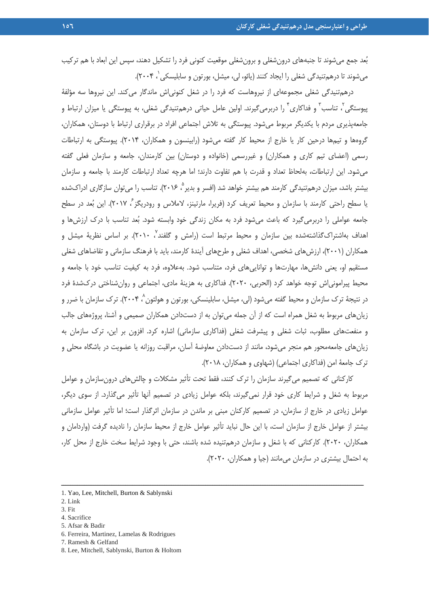بعد جمع ميشوند تا جنبههاي درونشغلي و برونشغلي موقعيت كنوني فرد را تشكيل دهند، سپس اين ابعاد با هم تركيب میشوند تا درهمتنیدگی شغلی را ایجاد كنند (یائو، لی، میشل، بورتون و سابلیسکی ٰ، ۲۰۰۴).

درهمتنيدگي شغلي مجموعهاي از نيروهاست كه فرد را در شغل كنونياش ماندگار ميكند. اين نيروها سه مؤلفة <sub>بیو</sub>ستگی'، تناسب<sup>۳</sup> و فداکاری ٔ را دربرمیگیرند. اولین عامل حیاتی درهمتنیدگی شغلی، به پیوستگی یا میزان ارتباط و جامعهپذيري مردم با يكديگر مربوط ميشود. پيوستگي به تلاش اجتماعي افراد در برقراري ارتباط با دوستان، همكاران، گروهها و تيمها درحين كار يا خارج از محيط كار گفته ميشود (رابينسون و همكاران، 2014). پيوستگي به ارتباطات رسمي (اعضاي تيم كاري و همكاران) و غيررسمي (خانواده و دوستان) بين كارمندان، جامعه و سازمان فعلي گفته ميشود. اين ارتباطات، بهلحاظ تعداد و قدرت با هم تفاوت دارند؛ اما هرچه تعداد ارتباطات كارمند با جامعه و سازمان بيشتر باشد، ميزان درهم تنيدگي كارمند هم بيشتر خواهد شد (افسر و بدير °، ۲۰۱۶). تناسب را مي توان سازگاري ادراكشده يا سطح راحتي كارمند با سازمان و محيط تعريف كرد (فريرا، مارتينز، لاملاس و رودريگز ً، ٢٠١٧). اين بُعد در سطح جامعه عواملي را دربرميگيرد كه باعث ميشود فرد به مكان زندگي خود وابسته شود. بعد تناسب با درك ارزشها و ّهداف بهاشتراکگذاشتهشده بین سازمان و محیط مرتبط است (رامش و گلفند<sup>٬</sup> ۲۰۱۰). بر اساس نظریهٔ میشل و همكاران (2001)، ارزشهاي شخصي، اهداف شغلي و طرحهاي آيندة كارمند، بايد با فرهنگ سازماني و تقاضاهاي شغلي مستقيم او، يعني دانشها، مهارتها و تواناييهاي فرد، متناسب شود. بهعلاوه، فرد به كيفيت تناسب خود با جامعه و محيط پيرامونياش توجه خواهد كرد (الحربي، 2020). فداكاري به هزينة مادي، اجتماعي و روانشناختي دركشدة فرد در نتيجهٔ ترک سازمان و محيط گفته مىشود (لى، ميشل، سابلينسکى، بورتون و هولتون^، ۲۰۰۴). ترک سازمان با ضرر و زيانهاي مربوط به شغل همراه است كه از آن جمله ميتوان به از دستدادن همكاران صميمي و آشنا، پروژههاي جالب و منفعتهاي مطلوب، ثبات شغلي و پيشرفت شغلي (فداكاري سازماني) اشاره كرد. افزون بر اين، ترك سازمان به زيانهاي جامعهمحور هم منجر ميشود، مانند از دستدادن معاوضة آسان، مراقبت روزانه يا عضويت در باشگاه محلي و ترك جامعة امن (فداكاري اجتماعي) (شهاوي و همكاران، 2018).

كاركناني كه تصميم ميگيرند سازمان را ترك كنند، فقط تحت تأثير مشكلات و چالشهاي درونسازمان و عوامل مربوط به شغل و شرايط كاري خود قرار نميگيرند، بلكه عوامل زيادي در تصميم آنها تأثير ميگذارد. از سوي ديگر، عوامل زيادي در خارج از سازمان، در تصميم كاركنان مبني بر ماندن در سازمان اثرگذار است؛ اما تأثير عوامل سازماني بيشتر از عوامل خارج از سازمان است، با اين حال نبايد تأثير عوامل خارج از محيط سازمان را ناديده گرفت (واردامان و همكاران، 2020). كاركناني كه با شغل و سازمان درهمتنيده شده باشند، حتي با وجود شرايط سخت خارج از محل كار، به احتمال بيشتري در سازمان ميمانند (جيا و همكاران، 2020).

- 3. Fit
- 4. Sacrifice
- 5. Afsar & Badir
- 6. Ferreira, Martinez, Lamelas & Rodrigues
- 7. Ramesh & Gelfand

<sup>1.</sup> Yao, Lee, Mitchell, Burton & Sablynski

<sup>2.</sup> Link

<sup>8.</sup> Lee, Mitchell, Sablynski, Burton & Holtom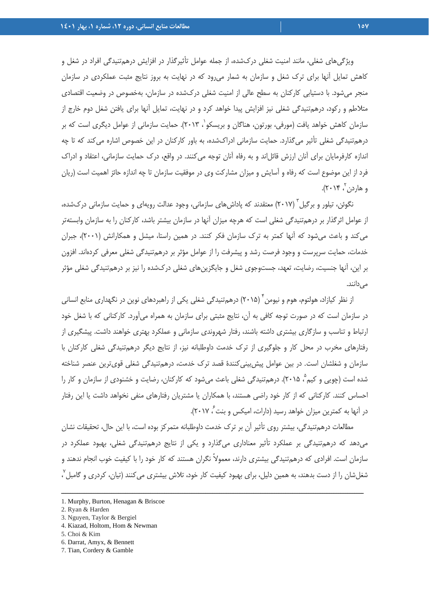ويژگيهاي شغلي، مانند امنيت شغلي دركشده، از جمله عوامل تأثيرگذار در افزايش درهمتنيدگي افراد در شغل و كاهش تمايل آنها براي ترك شغل و سازمان به شمار ميرود كه در نهايت به بروز نتايج مثبت عملكردي در سازمان منجر ميشود. با دستيابي كاركنان به سطح عالي از امنيت شغلي دركشده در سازمان، بهخصوص در وضعيت اقتصادي متلاطم و ركود، درهمتنيدگي شغلي نيز افزايش پيدا خواهد كرد و در نهايت، تمايل آنها براي يافتن شغل دوم خارج از سازمان كاهش خواهد يافت (مورفي، بورتون، هناگان و بريسكو`، ۲۰۱۳). حمايت سازماني از عوامل ديگرى است كه بر درهمتنيدگي شغلي تأثير ميگذارد. حمايت سازماني ادراكشده، به باور كاركنان در اين خصوص اشاره ميكند كه تا چه اندازه كارفرمايان براي آنان ارزش قائلاند و به رفاه آنان توجه ميكنند. در واقع، درك حمايت سازماني، اعتقاد و ادراك فرد از اين موضوع است كه رفاه و آسايش و ميزان مشاركت وي در موفقيت سازمان تا چه اندازه حائز اهميت است (ريان و هاردن ، ۲۰۱۴).

نگوئن، تيلور و برگيل ` (٢٠١٧) معتقدند كه پاداشهاي سازماني، وجود عدالت رويهاي و حمايت سازماني دركشده، از عوامل اثرگذار بر درهمتنيدگي شغلي است كه هرچه ميزان آنها در سازمان بيشتر باشد، كاركنان را به سازمان وابستهتر ميكند و باعث ميشود كه آنها كمتر به ترك سازمان فكر كنند. در همين راستا، ميشل و همكارانش (2001)، جبران خدمات، حمايت سرپرست و وجود فرصت رشد و پيشرفت را از عوامل مؤثر بر درهمتنيدگي شغلي معرفي كردهاند. افزون بر اين، آنها جنسيت، رضايت، تعهد، جستوجوي شغل و جايگزينهاي شغلي دركشده را نيز بر درهمتنيدگي شغلي مؤثر مے ردانند.

از نظر كيازاد، هولتوم، هوم و نيومن ً (٢٠١۵) درهمتنيدگي شغلي يكي از راهبردهاي نوين در نگهداري منابع انساني در سازمان است كه در صورت توجه كافي به آن، نتايج مثبتي براي سازمان به همراه ميآورد. كاركناني كه با شغل خود ارتباط و تناسب و سازگاري بيشتري داشته باشند، رفتار شهروندي سازماني و عملكرد بهتري خواهند داشت. پيشگيري از رفتارهاي مخرب در محل كار و جلوگيري از ترك خدمت داوطلبانه نيز، از نتايج ديگر درهمتنيدگي شغلي كاركنان با سازمان و شغلشان است. در بين عوامل پيشبينيكنندة قصد ترك خدمت، درهمتنيدگي شغلي قويترين عنصر شناخته شده است (چويي و كيم °، ٢٠١۵). درهمتنيدگي شغلي باعث ميشود كه كاركنان، رضايت و خشنودي از سازمان و كار را احساس كنند. كاركناني كه از كار خود راضي هستند، با همكاران يا مشتريان رفتارهاي منفي نخواهد داشت يا اين رفتار در آنها به كمترين ميزان خواهد رسيد (دارات، اميكس و بنت ً، ٢٠١٧).

مطالعات درهمتنيدگي، بيشتر روي تأثير آن بر ترك خدمت داوطلبانه متمركز بوده است، با اين حال، تحقيقات نشان ميدهد كه درهمتنيدگي بر عملكرد تأثير معناداري ميگذارد و يكي از نتايج درهمتنيدگي شغلي، بهبود عملكرد در سازمان است. افرادي كه درهمتنيدگي بيشتري دارند، معمولاً نگران هستند كه كار خود را با كيفيت خوب انجام ندهند و شغلشان را از دست بدهند، به همين دليل، براي بهبود كيفيت كار خود، تلاش بيشترى ميكنند (تيان، كردرى و گامبل $^\vee$ ،

<sup>1.</sup> Murphy, Burton, Henagan & Briscoe

<sup>2.</sup> Ryan & Harden

<sup>3.</sup> Nguyen, Taylor & Bergiel

<sup>4.</sup> Kiazad, Holtom, Hom & Newman

<sup>5.</sup> Choi & Kim

<sup>6.</sup> Darrat, Amyx, & Bennett

<sup>7.</sup> Tian, Cordery & Gamble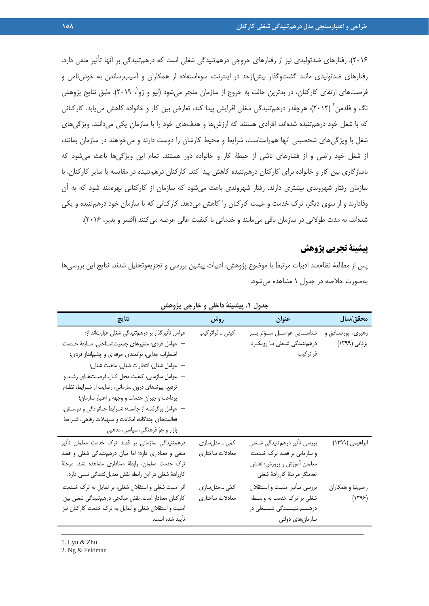2016). رفتارهاي ضدتوليدي نيز از رفتارهاي خروجي درهمتنيدگي شغلي است كه درهمتنيدگي بر آنها تأثير منفي دارد. رفتارهاي ضدتوليدي مانند گشتوگذار بيشازحد در اينترنت، سوءاستفاده از همكاران و آسيبرساندن به خوشنامي و فرصتهاي ارتقاي كاركنان، در بدترين حالت به خروج از سازمان منجر ميشود (ليو و ژو`، ٢٠١٩). طبق نتايج پژوهش نگ و فلدمن <sup>۲</sup> (۲۰۱۲)، هرچقدر درهمتنيدگي شغلي افزايش پيدا كند، تعارض بين كار و خانواده كاهش ميµبد. كاركناني كه با شغل خود درهمتنيده شدهاند، افرادي هستند كه ارزشها و هدفهاي خود را با سازمان يكي ميدانند، ويژگيهاي شغل با ويژگيهاي شخصيتي آنها همراستاست، شرايط و محيط كارشان را دوست دارند و ميخواهند در سازمان بمانند، از شغل خود راضي و از فشارهاي ناشي از حيطة كار و خانواده دور هستند. تمام اين ويژگيها باعث ميشود كه ناسازگاري بين كار و خانواده براي كاركنان درهمتنيده كاهش پيدا كند. كاركنان درهمتنيده در مقايسه با ساير كاركنان، با سازمان رفتار شهروندي بيشتري دارند. رفتار شهروندي باعث ميشود كه سازمان از كاركناني بهرهمند شود كه به آن وفادارند و از سوي ديگر، ترك خدمت و غيبت كاركنان را كاهش ميدهد. كاركناني كه با سازمان خود درهمتنيده و يكي شدهاند، به مدت طولاني در سازمان باقي مي مانند و خدماتي با كيفيت عالي عرضه مي كنند (افسر و بدير، ٢٠١۶).

## **پيشينة تجربي پژوهش**

پس از مطالعة نظاممند ادبيات مرتبط با موضوع پژوهش، ادبيات پيشين بررسي و تجزيهوتحليل شدند. نتايج اين بررسيها بهصورت خلاصه در جدول 1 مشاهده ميشود.

| نتايج                                                   | روش              | عنوان                                 | محقق/سال          |
|---------------------------------------------------------|------------------|---------------------------------------|-------------------|
| عوامل تأثیرگذار بر درهمتنیدگی شغلی عبارتاند از:         | کیفی _ فراتر کیب | شناســـايى عوامـــل مـــؤثر بـــر     | رهبري، پورصادق و  |
| — عوامل فردي: متغيرهاي جمعيتشـناختي، سـابقهٔ خـدمت،     |                  | درهم <i>ت</i> نیدگی شـغلی بـا رویکـرد | یزدانی (۱۳۹۹)     |
| اضطراب جدایی، توانمندی حرفهای و چشمانداز فردی؛          |                  | فراتركيب                              |                   |
| - عوامل شغلي: انتظارات شغلي، ماهيت شغلي؛                |                  |                                       |                   |
| – عوامل سازماني: كيفيت محل كـار، فرصـتهـاي رشـد و       |                  |                                       |                   |
| ترفیع، پیوندهای درون سازمانی، رضایت از شـرایط، نظـام    |                  |                                       |                   |
| پرداخت و جبران خدمات و وجهه و اعتبار سازمان؛            |                  |                                       |                   |
| – عوامل برگرفتـه از جامعـه: شـرايط خـانوادگى و دوسـتان، |                  |                                       |                   |
| فعالیتهای چندگانه، امکانات و تسهیلات رفاهی، شـرایط      |                  |                                       |                   |
| بازار و جوّ فرهنگی، سیاسی، مذهبی                        |                  |                                       |                   |
| درهم تنیدگی سازمانی بر قصد ترک خدمت معلمان تأثیر        | کمّی ــ مدلسازی  | بررسی تأثیر درهمتنیدگی شـغلی          | ابراهیمی (۱۳۹۹)   |
| منفی و معناداری دارد؛ اما میان درهمتنیدگی شغلی و قصد    | معادلات ساختاري  | و سازمانی بر قصد ترک خـدمت            |                   |
| ترک خدمت معلمان، رابطهٔ معناداری مشاهده نشد. مرحلهٔ     |                  | معلمان أموزش و پرورش: نقـش            |                   |
| كارراههٔ شغلي در اين رابطه نقش تعديل كنندگي نسبي دارد.  |                  | تعديلگر مرحلهٔ كارراههٔ شغلي          |                   |
| اثر امنیت شغلی و استقلال شغلی، بر تمایل به ترک خـدمت    | کمّی ــ مدلسازی  | بررسي تأثير امنيت و استقلال           | رحيمنيا و همكاران |
| كاركنان معنادار است. نقش ميانجي درهم تنيدگي شغلي بين    | معادلات ساختاري  | شغلی بر ترک خدمت به واسطه             | (1795)            |
| امنیت و استقلال شغلی و تمایل به ترک خدمت کارکنان نیز    |                  | درهـــــم تنيـــــدگى شـــــغلى در    |                   |
| تأييد شده است.                                          |                  | سازمان های دولتی                      |                   |
|                                                         |                  |                                       |                   |

**جدول .1 پيشينة داخلي و خارجي پژوهش** 

1. Lyu & Zhu

2. Ng & Feldman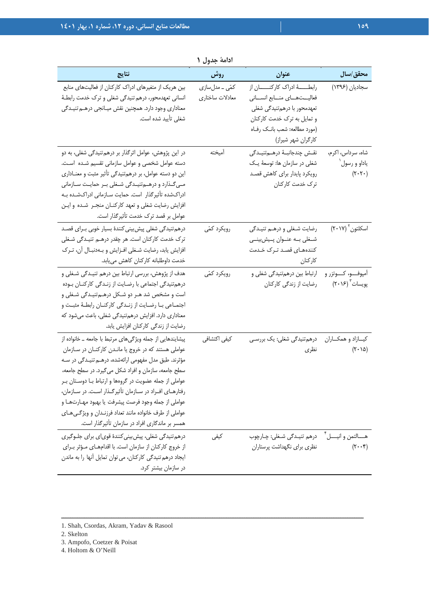| نتايج                                                                                                                                                                                                                                                                                                                                                                                                                                                                                                                   | روش                                | عنوان                                                                                                                                                                                    | محقق/سال                                                         |
|-------------------------------------------------------------------------------------------------------------------------------------------------------------------------------------------------------------------------------------------------------------------------------------------------------------------------------------------------------------------------------------------------------------------------------------------------------------------------------------------------------------------------|------------------------------------|------------------------------------------------------------------------------------------------------------------------------------------------------------------------------------------|------------------------------------------------------------------|
| بین هریک از متغیرهای ادراک کارکنان از فعالیتهای منابع<br>انسانی تعهدمحور، درهم تنیدگی شغلی و ترک خدمت رابطـهٔ<br>معناداری وجود دارد. همچنین نقش میـانجی درهــم تنیـدگی<br>شغلی تأیید شده است.                                                                                                                                                                                                                                                                                                                           | کمّی ــ مدلسازی<br>معادلات ساختاري | رابطـــــهٔ ادراک کارکنـــــان از<br>فعالیــتهــای منــابع انســانی<br>تعهدمحور با درهمتنیدگی شغلی<br>و تمایل به ترک خدمت کارکنان<br>(مورد مطالعه: شعب بانـک رفـاه<br>کارگران شهر شیراز) | سجاديان (١٣٩۶)                                                   |
| در این پژوهش، عوامل اثرگذار بر درهم تنیدگی شغلی، به دو<br>دسته عوامل شخصی و عوامل سازمانی تقسیم شده است.<br>این دو دسته عوامل، بر درهمتنیدگی تأثیر مثبت و معنـاداری<br>مےگذارد و درهےمتنیـدگی شـغلی بـر حمایـت سـازمانی<br>ادراکشده تأثیرگذار است. حمایت سـازمانی ادراکشـده بـه<br>افزایش رضایت شغلی و تعهد کارکنـان منجـر شـده و ایـن<br>عوامل بر قصد ترک خدمت تأثیرگذار است.                                                                                                                                          | أميخته                             | نقش چندجانبـهٔ درهــمتنيـدگى<br>شغلی در سازمان ها: توسعهٔ یک<br>رویکرد پایدار برای کاهش قصد<br>ترک خدمت کارکنان                                                                          | شاه، سرداس، اکرم،<br>ياداو و رسول ٰ<br>$(\tau \cdot \tau \cdot)$ |
| درهم تنیدگی شغلی پیش بینی کنندهٔ بسیار خوبی بـرای قصـد<br>ترک خدمت کارکنان است. هر چقدر درهـم تنیـدگی شـغلی<br>افزایش یابد، رضایت شـغلی افـزایش و بـهدنبـال آن، تـرک<br>خدمت داوطلبانه كاركنان كاهش مىيابد.                                                                                                                                                                                                                                                                                                             | رويكرد كمّى                        | رضایت شغلی و درهم تنیدگی<br>شـغلي بــه عنــوان پــيشبينــي<br>کنندههـای قصـد تـرک خـدمت<br>كاركنان                                                                                       | اسكلتون ٢٠١٧)                                                    |
| هدف از پژوهش، بررسی ارتباط بین درهم تنیـدگی شـغلی و<br>درهم تنیدگی اجتماعی با رضایت از زندگی کارکنان بوده<br>است و مشخص شد هـر دو شـكل درهـمتنيـدگي شـغلي و<br>اجتمـاعي بـا رضـايت از زنـدگي كاركنـان رابطـهٔ مثبـت و<br>معناداری دارد. افزایش درهمتنیدگی شغلی، باعث میشود که<br>رضایت از زندگی کارکنان افزایش یابد.                                                                                                                                                                                                    | رویکرد کمّی                        | ارتباط بین درهمتنیدگی شغلی و<br>رضایت از زندگی کارکنان                                                                                                                                   | آمپوفـــو، کــــوتزر و<br>پویسات ۲۰۱۶)                           |
| پیشایندهایی از جمله ویژگیهای مرتبط با جامعه ـ خانواده از<br>عواملی هستند که در خروج یا ماندن کارکنان در سازمان<br>مؤثرند. طبق مدل مفهومی ارائهشده، درهـم تنیـدگی در سـه<br>سطح جامعه، سازمان و افراد شکل می گیرد. در سطح جامعه،<br>عواملی از جمله عضویت در گروهها و ارتباط بـا دوسـتان بـر<br>رفتارهای افراد در سازمان تأثیرگذار است. در سازمان،<br>عواملي از جمله وجود فرصت پيشرفت يا بهبود مهـارتهـا و<br>عواملي از طرف خانواده مانند تعداد فرزنـدان و ویژگـی۵عـای<br>همسر بر ماندگاری افراد در سازمان تأثیرگذار است. | کیفی اکتشافی                       | درهمتنیدگی شغلی: یک بررسـی<br>نظرى                                                                                                                                                       | كيــازاد و همكــاران<br>$(\tau \cdot \Delta)$                    |
| درهم تنیدگی شغلی، پیش بینی کنندهٔ قویای برای جلـوگیری<br>از خروج كاركنان از سازمان است. با اقدامهـاى مـؤثر بـراى<br>ایجاد درهم تنیدگی کارکنان، می توان تمایل آنها را به ماندن<br>در سازمان بیشتر کرد.                                                                                                                                                                                                                                                                                                                   | کیفی                               | هـــالتمن و انيــــل عصوم تنيــدگي شــغلي: چـارچوب<br>نظری برای نگهداشت پرستاران                                                                                                         | $(\tau \cdot \cdot \tau)$                                        |

**ادامة جدول 1** 

- 3. Ampofo, Coetzer & Poisat
- 4. Holtom & O'Neill

<sup>1.</sup> Shah, Csordas, Akram, Yadav & Rasool

<sup>2.</sup> Skelton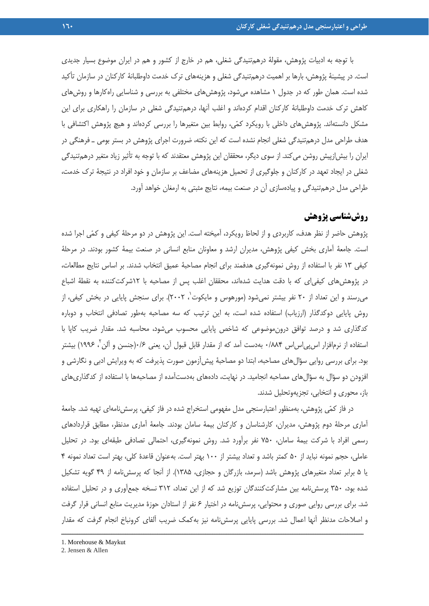با توجه به ادبيات پژوهش، مقولة درهمتنيدگي شغلي، هم در خارج از كشور و هم در ايران موضوع بسيار جديدي است. در پيشينة پژوهش، بارها بر اهميت درهمتنيدگي شغلي و هزينههاي ترك خدمت داوطلبانة كاركنان در سازمان تأكيد شده است. همان طور كه در جدول 1 مشاهده ميشود، پژوهشهاي مختلفي به بررسي و شناسايي راهكارها و روشهاي كاهش ترك خدمت داوطلبانة كاركنان اقدام كردهاند و اغلب آنها، درهمتنيدگي شغلي در سازمان را راهكاري براي اين مشكل دانستهاند. پژوهشهاي داخلي با رويكرد كمي، روابط بين متغيرها را بررسي كردهاند و هيچ پژوهش اكتشافي با هدف طراحي مدل درهمتنيدگي شغلي انجام نشده است كه اين نكته، ضرورت اجراي پژوهش در بستر بومي ـ فرهنگي در ايران را بيشازپيش روشن ميكند. از سوي ديگر، محققان اين پژوهش معتقدند كه با توجه به تأثير زياد متغير درهمتنيدگي شغلي در ايجاد تعهد در كاركنان و جلوگيري از تحميل هزينههاي مضاعف بر سازمان و خود افراد در نتيجة ترك خدمت، طراحي مدل درهمتنيدگي و پيادهسازي آن در صنعت بيمه، نتايج مثبتي به ارمغان خواهد آورد.

# **روششناسي پژوهش**

پژوهش حاضر از نظر هدف، كاربردي و از لحاظ رويكرد، آميخته است. اين پژوهش در دو مرحلة كيفي و كمي اجرا شده است. جامعة آماري بخش كيفي پژوهش، مديران ارشد و معاونان منابع انساني در صنعت بيمة كشور بودند. در مرحلة كيفي 13 نفر با استفاده از روش نمونهگيري هدفمند براي انجام مصاحبة عميق انتخاب شدند. بر اساس نتايج مطالعات، در پژوهشهاي كيفياي كه با دقت هدايت شدهاند، محققان اغلب پس از مصاحبه با 12شركتكننده به نقطة اشباع میرسند و این تعداد از ۲۰ نفر بیشتر نمیشود (مورهوس و مایکوت<sup>י</sup>، ۲۰۰۲). برای سنجش پایایی در بخش کیفی، از روش پايايي دوكدگذار (ارزياب) استفاده شده است، به اين ترتيب كه سه مصاحبه بهطور تصادفي انتخاب و دوباره كدگذاري شد و درصد توافق درونموضوعي كه شاخص پايايي محسوب ميشود، محاسبه شد. مقدار ضريب كاپا با استفاده از نرمافزار اس <sub>ب</sub>يے اس اس ۸۸۴°۰ بهدست آمد كه از مقدار قابل قبول آن، يعني ۱۶<sup>۶</sup>(جنسن و آلن <sup>۲</sup>، ۱۹۹۶) بيشتر بود. براي بررسي روايي سؤالهاي مصاحبه، ابتدا دو مصاحبة پيشآزمون صورت پذيرفت كه به ويرايش ادبي و نگارشي و افزودن دو سؤال به سؤالهاي مصاحبه انجاميد. در نهايت، دادههاي بهدستآمده از مصاحبهها با استفاده از كدگذاريهاي باز، محوري و انتخابي، تجزيهوتحليل شدند.

در فاز كمي پژوهش، بهمنظور اعتبارسنجي مدل مفهومي استخراج شده در فاز كيفي، پرسشنامهاي تهيه شد. جامعة آماري مرحلة دوم پژوهش، مديران، كارشناسان و كاركنان بيمة سامان بودند. جامعة آماري مدنظر، مطابق قراردادهاي رسمي افراد با شركت بيمة سامان، 750 نفر برآورد شد. روش نمونهگيري، احتمالي تصادفي طبقهاي بود. در تحليل عاملي، حجم نمونه نبايد از 50 كمتر باشد و تعداد بيشتر از 100 بهتر است. بهعنوان قاعدة كلي، بهتر است تعداد نمونه 4 يا 5 برابر تعداد متغيرهاي پژوهش باشد (سرمد، بازرگان و حجازي، 1385). از آنجا كه پرسشنامه از 49 گويه تشكيل شده بود، 350 پرسشنامه بين مشاركتكنندگان توزيع شد كه از اين تعداد، 312 نسخه جمعآوري و در تحليل استفاده شد. براي بررسي روايي صوري و محتوايي، پرسشنامه در اختيار 6 نفر از استادان حوزة مديريت منابع انساني قرار گرفت و اصلاحات مدنظر آنها اعمال شد. بررسي پايايي پرسشنامه نيز بهكمك ضريب آلفاي كرونباخ انجام گرفت كه مقدار

<sup>1.</sup> Morehouse & Maykut

<sup>2.</sup> Jensen & Allen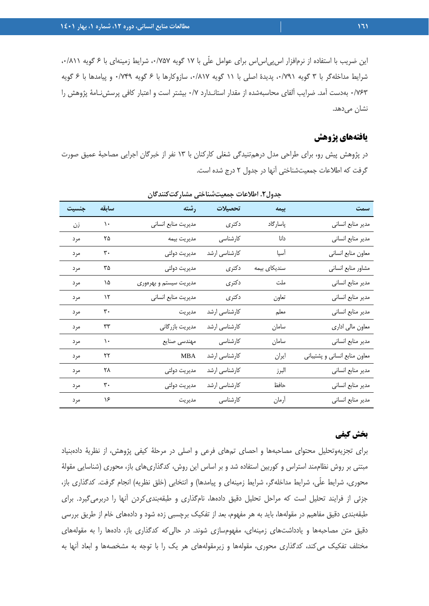اين ضريب با استفاده از نرمافزار اس پي اس اس براي عوامل علّي با ١٧ گويه ٠/٧۵٧، شرايط زمينهاي با ۶ گويه ٠/٨١١، شرايط مداخلهگر با ۳ گويه ۰/۷۹۱، پديدة اصلي با ۱۱ گويه ۰/۸۱۷، سازوكارها با ۶ گويه ۰/۷۴۹ و پيامدها با ۶ گويه 0/763 بهدست آمد. ضرايب آلفاي محاسبهشده از مقدار استانـدارد 0/7 بيشتر است و اعتبار كافي پرسشنـامة پژوهش را نشا*ن* مىدهد.

## **يافتههاي پژوهش**

در پژوهش پيش رو، براي طراحي مدل درهمتنيدگي شغلي كاركنان با 13 نفر از خبرگان اجرايي مصاحبة عميق صورت گرفت كه اطلاعات جمعيتشناختي آنها در جدول 2 درج شده است.

| جنسيت | سابقه         | <mark>رشته</mark> ا    | تحصيلات       | بيمه         | سمت                           |
|-------|---------------|------------------------|---------------|--------------|-------------------------------|
| زن    | $\mathcal{L}$ | مديريت منابع انساني    | دکتری         | پاسارگاد     | مدير منابع انساني             |
| مرد   | ۲۵            | مديريت بيمه            | كارشناسى      | دانا         | مدير منابع انساني             |
| مرد   | ٣٠            | مديريت دولتى           | کارشناسی ارشد | أسيا         | معاون منابع انساني            |
| مرد   | ٣۵            | مديريت دولتى           | دكترى         | سندیکای بیمه | مشاور منابع انساني            |
| مر د  | ۱۵            | مدیریت سیستم و بهرەوری | دكترى         | ملت          | مدير منابع انساني             |
| مرد   | $\mathcal{N}$ | مديريت منابع انساني    | دكترى         | تعاون        | مدير منابع انساني             |
| مرد   | ٣٠            | مديريت                 | کارشناسی ارشد | معلم         | مدير منابع انساني             |
| مرد   | ٣٣            | مدیریت بازرگانی        | كارشناسي ارشد | سامان        | معاون مالي اداري              |
| مرد   | $\mathcal{L}$ | مهندسي صنايع           | كارشناسى      | سامان        | مدير منابع انساني             |
| مرد   | ۲۲            | <b>MBA</b>             | کارشناسی ارشد | ايران        | معاون منابع انساني و پشتيباني |
| مرد   | ۲۸            | مديريت دولتى           | کارشناسی ارشد | البرز        | مدير منابع انساني             |
| مرد   | ٣.            | مديريت دولتى           | كارشناسي ارشد | حافظ         | مدير منابع انساني             |
| مرد   | ۱۶            | مديريت                 | کارشناسی      | أرمان        | مدير منابع انساني             |

**جدول.2 اطلاعات جمعيتشناختي مشاركتكنندگان** 

## **بخش كيفي**

براي تجزيهوتحليل محتواي مصاحبهها و احصاي تمهاي فرعي و اصلي در مرحلة كيفي پژوهش، از نظرية دادهبنياد مبتني بر روش نظاممند استراس و كوربين استفاده شد و بر اساس اين روش، كدگذاريهاي باز، محوري (شناسايي مقولة محوري، شرايط علّي، شرايط مداخلهگر، شرايط زمينهاي و پيامدها) و انتخابي (خلق نظريه) انجام گرفت. كدگذاري باز، جزئي از فرايند تحليل است كه مراحل تحليل دقيق دادهها، نامگذاري و طبقهبنديكردن آنها را دربرميگيرد. براي طبقهبندي دقيق مفاهيم در مقولهها، بايد به هر مفهوم، بعد از تفكيك برچسبي زده شود و دادههاي خام از طريق بررسي دقيق متن مصاحبهها و يادداشتهاي زمينهاي، مفهومسازي شوند. در حاليكه كدگذاري باز، دادهها را به مقولههاي مختلف تفكيك ميكند، كدگذاري محوري، مقولهها و زيرمقولههاي هر يك را با توجه به مشخصهها و ابعاد آنها به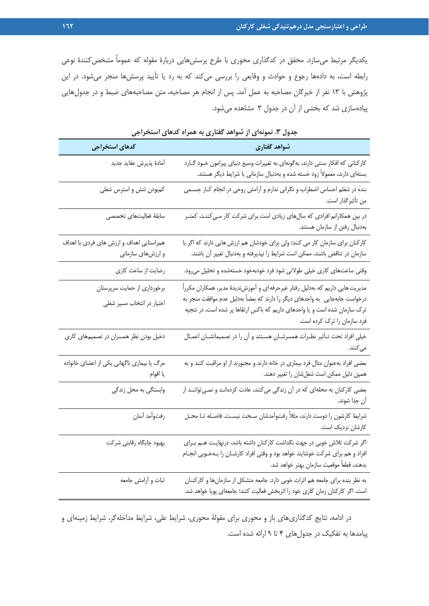يكديگر مرتبط ميسازد. محقق در كدگذاري محوري با طرح پرسشهايي دربارة مقوله كه عموماً مشخصكنندة نوعي رابطه است، به دادهها رجوع و حوادث و وقايعي را بررسي ميكند كه به رد يا تأييد پرسشها منجر ميشود. در اين پژوهش با 13 نفر از خبرگان مصاحبه به عمل آمد. پس از انجام هر مصاحبه، متن مصاحبههاي ضبط و در جدولهايي پيادهسازي شد كه بخشي از آن در جدول 3 مشاهده ميشود.

| كدهاى استخراجى                                                | شواهد گفتاری                                                                                                                                                                                                                                                                   |
|---------------------------------------------------------------|--------------------------------------------------------------------------------------------------------------------------------------------------------------------------------------------------------------------------------------------------------------------------------|
| أمادة پذيرش عقايد جديد                                        | کارکنانی که افکار سنتی دارند، بهگونهای به تغییرات وسیع دنیای پیرامون خـود گــارد<br>بستهای دارند، معمولاً زود خسته شده و بهدنبال سازمانی با شرایط دیگر هستند.                                                                                                                  |
| كمبودن تنش و استرس شغلي                                       | بنده در شغلم احساس اضطراب و نگرانی ندارم و آرامش روحی در انجام کـار جسـمی<br>من تأثيرگذار است.                                                                                                                                                                                 |
| سابقة فعاليتهاى تخصصى                                         | در بین همکارانم افرادی که سالهای زیادی است برای شرکت کار مـیکننـد، کمتـر<br>بهدنبال رفتن از سازمان هستند.                                                                                                                                                                      |
| همراستایی اهداف و ارزش های فردی با اهداف<br>و ارزشهای سازمانی | کارکنان برای سازمان کار می کنند؛ ولی برای خودشان هم ارزش هایی دارند که اگر با<br>سازمان در تناقض باشند، ممکن است شرایط را نپذیرفته و بهدنبال تغییر آن باشند.                                                                                                                   |
| رضایت از ساعت کاری                                            | وقتی ساعتهای کاری خیلی طولانی شود فرد خودبهخود خستهشده و تحلیل میرود.                                                                                                                                                                                                          |
| برخورداری از حمایت سرپرستان<br>اختیار در انتخاب مسیر شغلی     | مدیریت هایی داریم که بهدلیل رفتار غیرحرفه ای و اَموزشندیدهٔ مدیر، همکاران مکرراً<br>درخواست جابهجایی  به واحدهای دیگر را دارند که بعضاً بهدلیل عدم موافقت منجر به<br>ترک سازمان شده است و یا واحدهای داریم که باکس ارتقاها پر شده است، در نتجیه<br>فرد سازمان را ترک کرده است. |
| دخیل بودن نظر همسران در تصمیمهای کاری                         | خیلی افراد تحت تـأثیر نظـرات همسرشـان هسـتند و آن را در تصمیماتشـان اعمـال<br>مى كنند.                                                                                                                                                                                         |
| مرگ یا بیماری ناگهانی یکی از اعضای خانواده<br>يا اقوام        | بعضی افراد بهعنوان مثال فرد بیماری در خانه دارند و مجبورند از او مراقبت کنند و به<br>همین دلیل ممکن است شغلشان را تغییر دهند.                                                                                                                                                  |
| وابستگی به محل زندگی                                          | بعضی کارکنان به محلهای که در آن زندگی میکنند، عادت کردهانـد و نمـیتواننـد از<br>آن جدا شوند.                                                                                                                                                                                   |
| رفتوأمد أسان                                                  | شرایط کارشون را دوست دارند، مثلاً رفتوآمدشان سخت نیسـت. فاصـله تـا محـل<br>كارشان نزديک است.                                                                                                                                                                                   |
| بهبود جايگاه رقابتى شركت                                      | اگر شرکت تلاش خوبی در جهت نگداشت کارکنان داشته باشد، درنهایـت هـم بـرای<br>افراد و هم برای شرکت خوشایند خواهد بود و وقتی افراد کارشـان را بـهخـوبی انجـام<br>بدهند، قطعاً موقعيت سازمان بهتر خواهد شد.                                                                         |
| ثبات و أرامش جامعه                                            | به نظر بنده برای جامعه هم اثرات خوبی دارد. جامعه متشکل از سازمانها و کارکنـان<br>است. اگر کارکنان زمان کاری خود را اثربخش فعالیت کنند؛ جامعهای پویا خواهد شد.                                                                                                                  |

**جدول .3 نمونهاي از شواهد گفتاري به همراه كدهاي استخراجي** 

در ادامه، نتايج كدگذاريهاي باز و محوري براي مقولة محوري، شرايط علي، شرايط مداخلهگر، شرايط زمينهاي و پيامدها به تفكيك در جدولهاي 4 تا 9 ارائه شده است.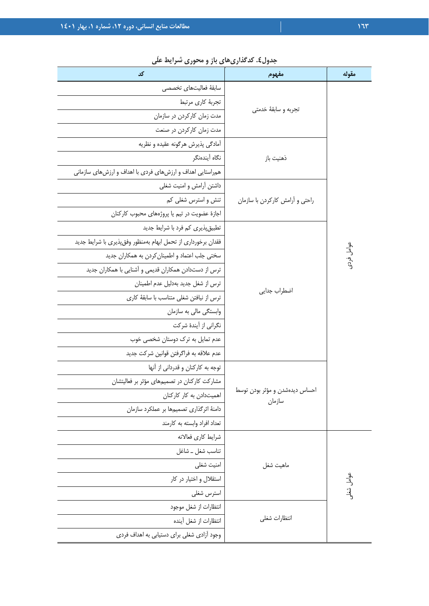| بتون» تنصری این در دسترون میزانید کشی<br>کد                   | مفهوم                                    | مقوله                 |
|---------------------------------------------------------------|------------------------------------------|-----------------------|
| سابقة فعاليتهاى تخصصى                                         |                                          |                       |
| تجربهٔ کاری مرتبط                                             |                                          |                       |
| مدت زمان كاركردن در سازمان                                    | تجربه و سابقهٔ خدمتی                     |                       |
| مدت زمان كاركردن در صنعت                                      |                                          |                       |
| أمادگي پذيرش هرگونه عقيده و نظريه                             |                                          |                       |
| نگاه أيندهنگر                                                 | ذهنيت باز                                |                       |
| همراستایی اهداف و ارزشهای فردی با اهداف و ارزشهای سازمانی     |                                          |                       |
| داشتن أرامش و امنيت شغلي                                      |                                          |                       |
| تنش و استرس شغلي كم                                           | راحتی و آرامش کارکردن با سازمان          |                       |
| اجازهٔ عضویت در تیم یا پروژههای محبوب کارکنان                 |                                          |                       |
| تطبیق پذیری کم فرد با شرایط جدید                              |                                          |                       |
| فقدان برخورداري از تحمل ابهام بهمنظور وفق پذيري با شرايط جديد |                                          |                       |
| سختی جلب اعتماد و اطمینان کردن به همکاران جدید                |                                          | عوامل فردى            |
| ترس از دستدادن همکاران قدیمی و آشنایی با همکاران جدید         |                                          |                       |
| ترس از شغل جدید بهدلیل عدم اطمینان                            | اضطراب جدايى                             |                       |
| ترس از نیافتن شغلی متناسب با سابقهٔ کاری                      |                                          |                       |
| وابستگی مالی به سازمان                                        |                                          |                       |
| نگرانی از آیندهٔ شرکت                                         |                                          |                       |
| عدم تمایل به ترک دوستان شخصی خوب                              |                                          |                       |
| عدم علاقه به فراگرفتن قوانین شرکت جدید                        |                                          |                       |
| توجه به کارکنان و قدردانی از آنها                             |                                          |                       |
| مشارکت کارکنان در تصمیمهای مؤثر بر فعالیتشان                  |                                          |                       |
| اهمیتدادن به کار کارکنان                                      | احساس دیدهشدن و مؤثر بودن توسط<br>سازمان |                       |
| دامنهٔ اثرگذاری تصمیمها بر عملکرد سازمان                      |                                          |                       |
| تعداد افراد وابسته به كارمند                                  |                                          |                       |
| شرايط كارى فعالانه                                            |                                          |                       |
| تناسب شغل _ شاغل                                              |                                          |                       |
| امنيت شغلي                                                    | ماهيت شغل                                |                       |
| استقلال و اختیار در کار                                       |                                          | <sub>كوامل</sub> شغلى |
| استرس شغلي                                                    |                                          |                       |
| انتظارات از شغل موجود                                         |                                          |                       |
| انتظارات از شغل آينده                                         | انتظارات شغلى                            |                       |
| وجود آزادی شغلی برای دستیابی به اهداف فردی                    |                                          |                       |

# **جدول.4 كدگذاريهاي باز و محوري شرايط علّي**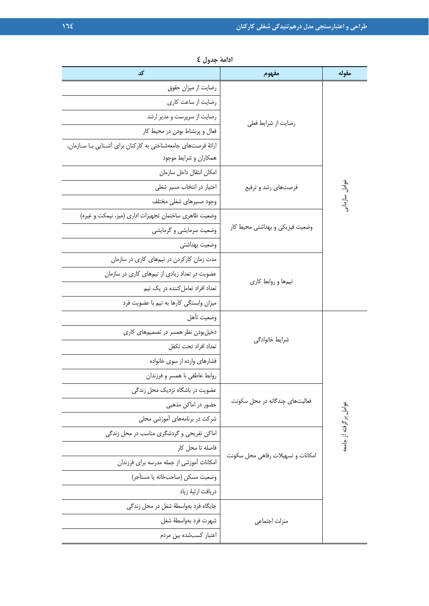| کد                                                           | مفهوم                             | مقوله                  |
|--------------------------------------------------------------|-----------------------------------|------------------------|
| رضایت از میزان حقوق                                          |                                   |                        |
| رضایت از ساعت کاری                                           |                                   |                        |
| رضایت از سرپرست و مدیر ارشد                                  | رضايت از شرايط فعلى               |                        |
| فعال و پرنشاط بودن در محیط کار                               |                                   |                        |
| ارائهٔ فرصتهای جامعهشناختی به کارکنان برای آشنایی با سازمان، |                                   |                        |
| همكاران و شرايط موجود                                        |                                   |                        |
| امكان انتقال داخل سازمان                                     |                                   |                        |
| اختیار در انتخاب مسیر شغلی                                   | فرصتهای رشد و ترفیع               |                        |
| وجود مسيرهاى شغلى مختلف                                      |                                   | وامل سازمانر           |
| وضعیت ظاهری ساختمان تجهیزات اداری (میز، نیمکت و غیره)        |                                   |                        |
| وضعیت سرمایشی و گرمایشی                                      | وضعیت فیزیکی و بهداشتی محیط کار   |                        |
| وضعيت بهداشتى                                                |                                   |                        |
| مدت زمان کارکردن در تیمهای کاری در سازمان                    |                                   |                        |
| عضویت در تعداد زیادی از تیمهای کاری در سازمان                |                                   |                        |
| تعداد افراد تعامل کننده در یک تیم                            | تیمها و روابط کاری                |                        |
| میزان وابستگی کارها به تیم با عضویت فرد                      |                                   |                        |
| وضعيت تأهل                                                   |                                   |                        |
| دخیلبودن نظر همسر در تصمیمهای کاری                           | شرايط خانوادگى                    |                        |
| تعداد افراد تحت تكفل                                         |                                   |                        |
| فشارهای وارده از سوی خانواده                                 |                                   |                        |
| روابط عاطفى با همسر و فرزندان                                |                                   |                        |
| عضویت در باشگاه نزدیک محل زندگی                              |                                   |                        |
| حضور در اماکن مذهبی                                          | فعالیتهای چندگانه در محل سکونت    |                        |
| شرکت در برنامههای آموزشی محلی                                |                                   |                        |
| اماکن تفریحی و گردشگری مناسب در محل زندگی                    |                                   | عوامل برگرفته از جامعه |
| فاصله تا محل كار                                             |                                   |                        |
| امكانات آموزشي از جمله مدرسه براي فرزندان                    | امكانات و تسهيلات رفاهي محل سكونت |                        |
| وضعيت مسكن (صاحبخانه يا مستأجر)                              |                                   |                        |
| دريافت ارثيهٔ زياد                                           |                                   |                        |
| جايگاه فرد بهواسطهٔ شغل در محل زندگي                         |                                   |                        |
| شهرت فرد بهواسطهٔ شغل                                        | منزلت اجتماعي                     |                        |
| اعتبار كسبشده بين مردم                                       |                                   |                        |

**ادامة جدول 4**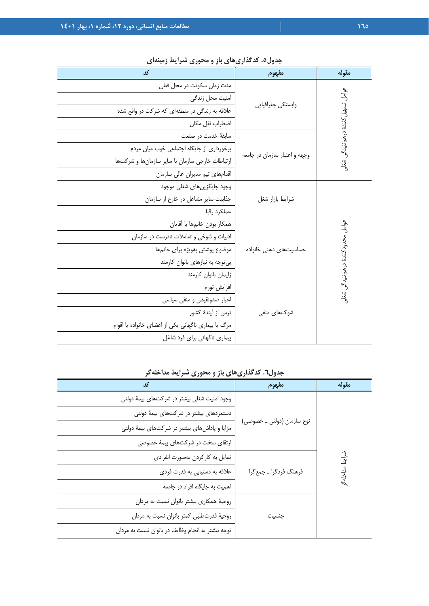| کد                                                  | مفهوم                         | مقوله                              |
|-----------------------------------------------------|-------------------------------|------------------------------------|
| مدت زمان سكونت در محل فعلي                          |                               |                                    |
| امنیت محل زندگی                                     | وابستگى جغرافيايي             | عوامل تسهيل كنندة درهم تنيدگي شغلي |
| علاقه به زندگی در منطقهای که شرکت در واقع شده       |                               |                                    |
| اضطراب نقل مكان                                     |                               |                                    |
| سابقهٔ خدمت در صنعت                                 |                               |                                    |
| برخورداری از جایگاه اجتماعی خوب میان مردم           | وجهه و اعتبار سازمان در جامعه |                                    |
| ارتباطات خارجی سازمان با سایر سازمانها و شرکتها     |                               |                                    |
| اقدامهای تیم مدیران عالی سازمان                     |                               |                                    |
| وجود جايگزين هاي شغلي موجود                         |                               |                                    |
| جذابیت سایر مشاغل در خارج از سازمان                 | شرايط بازار شغل               |                                    |
| عملكرد رقبا                                         |                               |                                    |
| همكار بودن خانمها با أقايان                         |                               |                                    |
| ادبیات و شوخی و تعاملات نادرست در سازمان            |                               |                                    |
| موضوع پوشش بهویژه برای خانمها                       | حساسیتهای ذهنی خانواده        |                                    |
| بی توجه به نیازهای بانوان کارمند                    |                               |                                    |
| زايمان بانوان كارمند                                |                               | عوامل محدودكنندة درهم تنيدكي شغلو  |
| افزايش تورم                                         |                               |                                    |
| اخبار ضدونقيض و منفي سياسي                          |                               |                                    |
| ترس از آیندهٔ کشور                                  | شوکھای منفی                   |                                    |
| مرگ یا بیماری ناگهانی یکی از اعضای خانواده یا اقوام |                               |                                    |
| بیماری ناگهانی برای فرد شاغل                        |                               |                                    |

**جدول.5 كدگذاريهاي باز و محوري شرايط زمينهاي** 

**جدول.6 كدگذاريهاي باز و محوري شرايط مداخلهگر** 

| کد                                                | مفهوم                      | مقوله      |
|---------------------------------------------------|----------------------------|------------|
| وجود امنیت شغلی بیشتر در شرکتهای بیمهٔ دولتی      |                            |            |
| دستمزدهای بیشتر در شرکتهای بیمهٔ دولتی            |                            |            |
| مزایا و پاداشهای بیشتر در شرکتهای بیمهٔ دولتی     | نوع سازمان (دولتی _ خصوصی) |            |
| ارتقای سخت در شرکتهای بیمهٔ خصوصی                 |                            |            |
| تمایل به کارکردن بهصورت انفرادی                   |                            | شرایط<br>ا |
| علاقه به دستیابی به قدرت فردی                     | فرهنگ فردگرا _ جمعگرا      | مداخلة     |
| اهمیت به جایگاه افراد در جامعه                    |                            |            |
| روحیهٔ همکاری بیشتر بانوان نسبت به مردان          |                            |            |
| روحية قدرتطلبي كمتر بانوان نسبت به مردان          | جنسيت                      |            |
| توجه بیشتر به انجام وظایف در بانوان نسبت به مردان |                            |            |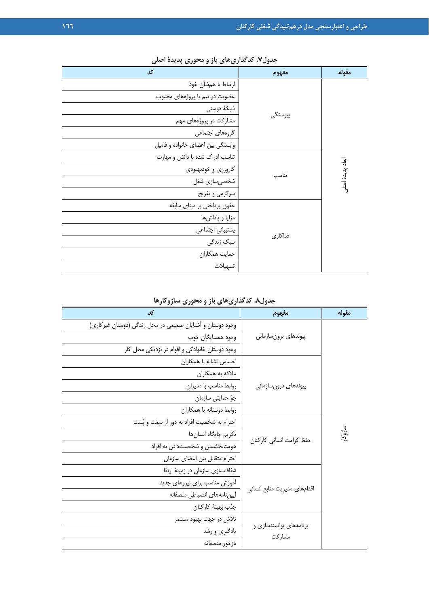| کد                                | مفهوم   | مقوله            |
|-----------------------------------|---------|------------------|
| ارتباط با همشأن خود               |         |                  |
| عضویت در تیم یا پروژههای محبوب    |         |                  |
| شبكهٔ دوستی                       |         |                  |
| مشارکت در پروژههای مهم            | پيوستگى |                  |
| گروههای اجتماعی                   |         |                  |
| وابستگی بین اعضای خانواده و فامیل |         |                  |
| تناسب ادراک شده با دانش و مهارت   |         |                  |
| کارورزی و خودبهبودی               |         | ابعاد پديدة اصلى |
| شخصیسازی شغل                      | تناسب   |                  |
| سرگرمی و تفریح                    |         |                  |
| حقوق پرداختی بر مبنای سابقه       |         |                  |
| مزايا و پاداشها                   |         |                  |
| پشتیبانی اجتماعی                  |         |                  |
| سبک زندگی                         | فداكاري |                  |
| حمايت همكاران                     |         |                  |
| تسهيلات                           |         |                  |

**جدول.7 كدگذاريهاي باز و محوري پديدة اصلي** 

**جدول.8 كدگذاريهاي باز و محوري سازوكارها** 

| کد                                                         | مفهوم                        | مقوله   |
|------------------------------------------------------------|------------------------------|---------|
| وجود دوستان و آشنایان صمیمی در محل زندگی (دوستان غیر کاری) |                              |         |
| وجود همسايگان خوب                                          | پیوندهای برونسازمانی         |         |
| وجود دوستان خانوادگی و اقوام در نزدیکی محل کار             |                              |         |
| احساس تشابه با همكاران                                     |                              |         |
| علاقه به همكاران                                           |                              |         |
| روابط مناسب با مديران                                      | پیوندهای درونسازمانی         |         |
| جوّ حمايتي سازمان                                          |                              |         |
| روابط دوستانه با همكاران                                   |                              |         |
| احترام به شخصیت افراد به دور از سِمَت و پُست               |                              |         |
| تكريم جايگاه انسان ها                                      |                              | سازوكار |
| هویتبخشیدن و شخصیتدادن به افراد                            | حفظ كرامت انساني كاركنان     |         |
| احترام متقابل بين اعضاى سازمان                             |                              |         |
| شفافسازی سازمان در زمینهٔ ارتقا                            |                              |         |
| آموزش مناسب براى نيروهاى جديد                              |                              |         |
| أييننامههاى انضباطي منصفانه                                | اقدامهای مدیریت منابع انسانی |         |
| جذب بهينة كاركنان                                          |                              |         |
| تلاش در جهت بهبود مستمر                                    |                              |         |
| یادگیری و رشد                                              | برنامههای توانمندسازی و      |         |
| بازخور منصفانه                                             | مشاركت                       |         |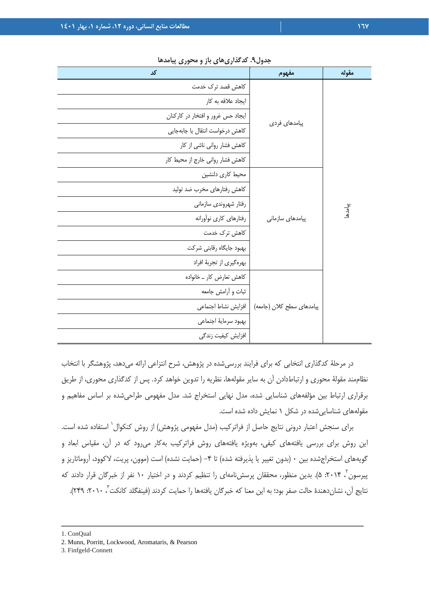| کد                                | مفهوم                     | مقوله        |
|-----------------------------------|---------------------------|--------------|
| كاهش قصد ترك خدمت                 |                           |              |
| ايجاد علاقه به كار                |                           |              |
| ایجاد حس غرور و افتخار در کارکنان |                           |              |
| كاهش درخواست انتقال يا جابهجايي   | پیامدهای فردی             |              |
| كاهش فشار رواني ناشي از كار       |                           |              |
| كاهش فشار رواني خارج از محيط كار  |                           |              |
| محيط كارى دلنشين                  |                           |              |
| كاهش رفتارهاي مخرب ضد توليد       |                           |              |
| رفتار شهروندي سازماني             |                           | پیامدها<br>* |
| رفتارهاي كارى نوأورانه            | پیامدهای سازمانی          |              |
| كاهش ترك خدمت                     |                           |              |
| بهبود جايگاه رقابتي شركت          |                           |              |
| بهرهگیری از تجربهٔ افراد          |                           |              |
| كاهش تعارض كار _ خانواده          |                           |              |
| ثبات و أرامش جامعه                |                           |              |
| افزايش نشاط اجتماعي               | پیامدهای سطح کلان (جامعه) |              |
| بهبود سرماية اجتماعي              |                           |              |
| افزایش کیفیت زندگی                |                           |              |

**جدول.9 كدگذاريهاي باز و محوري پيامدها** 

در مرحلة كدگذاري انتخابي كه براي فرايند بررسيشده در پژوهش، شرح انتزاعي ارائه ميدهد، پژوهشگر با انتخاب نظاممند مقولة محوري و ارتباطدادن آن به ساير مقولهها، نظريه را تدوين خواهد كرد. پس از كدگذاري محوري، از طريق برقراري ارتباط بين مؤلفههاي شناسايي شده، مدل نهايي استخراج شد. مدل مفهومي طراحيشده بر اساس مفاهيم و مقولههاي شناساييشده در شكل 1 نمايش داده شده است.

براي سنجش اعتبار دروني نتايج حاصل از فراتركيب (مدل مفهومي پژوهش) از روش كنكوال` استفاده شده است. اين روش براي بررسي يافتههاي كيفي، بهويژه يافتههاي روش فراتركيب بهكار ميرود كه در آن، مقياس ابعاد و گويههاي استخراجشده بين ٠ (بدون تغيير يا پذيرفته شده) تا ۴– (حمايت نشده) است (موون، پريت، لاكوود، آروماتاريز و <sub>بير</sub>سون<sup>۲</sup>، ۲۰۱۴: ۵). بدين منظور، محققان پرسشiامهای را تنظيم كردند و در اختيار ۱۰ نفر از خبرگان قرار دادند كه نتايج آن، نشاندهندهٔ حالت صفر بود؛ به اين معنا كه خبرگان يافتهها را حمايت كردند (فينفگلد كانكت<sup>۳</sup>، ۲۰۱۰: ۲۴۹).

<sup>1.</sup> ConQual

<sup>2.</sup> Munn, Porritt, Lockwood, Aromataris, & Pearson

<sup>3.</sup> Finfgeld‐Connett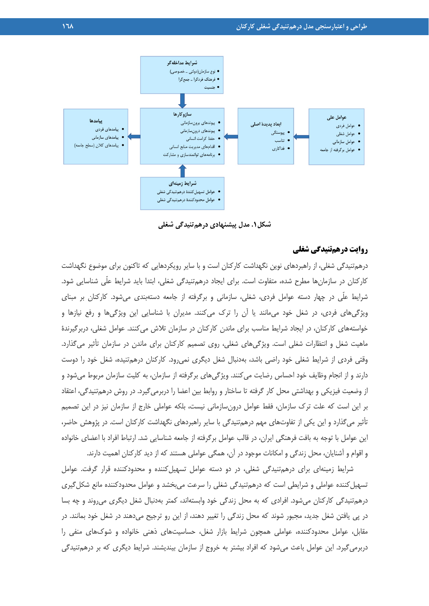

**شكل.1 مدل پيشنهادي درهمتنيدگي شغلي**

## **روايت درهمتنيدگي شغلي**

درهمتنيدگي شغلي، از راهبردهاي نوين نگهداشت كاركنان است و با ساير رويكردهايي كه تاكنون براي موضوع نگهداشت كاركنان در سازمانها مطرح شده، متفاوت است. براي ايجاد درهمتنيدگي شغلي، ابتدا بايد شرايط علّي شناسايي شود. شرايط علّي در چهار دسته عوامل فردي، شغلي، سازماني و برگرفته از جامعه دستهبندي ميشود. كاركنان بر مبناي ويژگيهاي فردي، در شغل خود ميمانند يا آن را ترك ميكنند. مديران با شناسايي اين ويژگيها و رفع نيازها و خواستههاي كاركنان، در ايجاد شرايط مناسب براي ماندن كاركنان در سازمان تلاش ميكنند. عوامل شغلي، دربرگيرندة ماهيت شغل و انتظارات شغلي است. ويژگيهاي شغلي، روي تصميم كاركنان براي ماندن در سازمان تأثير ميگذارد. وقتي فردي از شرايط شغلي خود راضي باشد، بهدنبال شغل ديگري نميرود. كاركنان درهمتنيده، شغل خود را دوست دارند و از انجام وظايف خود احساس رضايت ميكنند. ويژگيهاي برگرفته از سازمان، به كليت سازمان مربوط ميشود و از وضعيت فيزيكي و بهداشتي محل كار گرفته تا ساختار و روابط بين اعضا را دربرميگيرد. در روش درهمتنيدگي، اعتقاد بر اين است كه علت ترك سازمان، فقط عوامل درونسازماني نيست، بلكه عواملي خارج از سازمان نيز در اين تصميم تأثير ميگذارد و اين يكي از تفاوتهاي مهم درهمتنيدگي با ساير راهبردهاي نگهداشت كاركنان است. در پژوهش حاضر، اين عوامل با توجه به بافت فرهنگي ايران، در قالب عوامل برگرفته از جامعه شناسايي شد. ارتباط افراد با اعضاي خانواده و اقوام و آشنايان، محل زندگي و امكانات موجود در آن، همگي عواملي هستند كه از ديد كاركنان اهميت دارند.

شرايط زمينهاي براي درهمتنيدگي شغلي، در دو دسته عوامل تسهيلكننده و محدودكننده قرار گرفت. عوامل تسهيل كننده عواملي و شرايطي است كه درهمتنيدگي شغلي را سرعت مي بخشد و عوامل محدودكننده مانع شكل گيري درهمتنيدگي كاركنان ميشود. افرادي كه به محل زندگي خود وابستهاند، كمتر بهدنبال شغل ديگري ميروند و چه بسا در پي يافتن شغل جديد، مجبور شوند كه محل زندگي را تغيير دهند، از اين رو ترجيح ميدهند در شغل خود بمانند. در مقابل، عوامل محدودكننده، عواملي همچون شرايط بازار شغل، حساسيتهاي ذهني خانواده و شوكهاي منفي را دربرميگيرد. اين عوامل باعث ميشود كه افراد بيشتر به خروج از سازمان بينديشند. شرايط ديگري كه بر درهمتنيدگي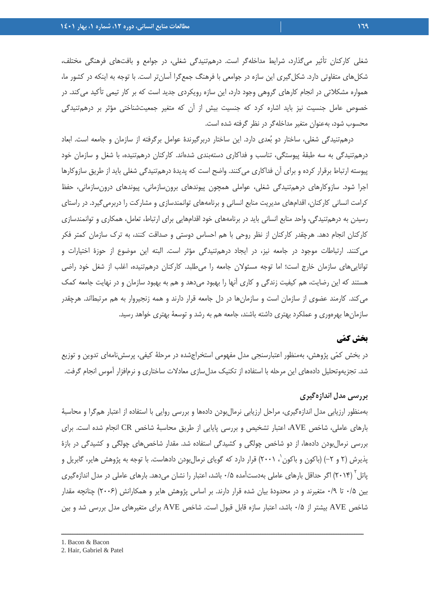شغلي كاركنان تأثير ميگذارد، شرايط مداخلهگر است. درهمتنيدگي شغلي، در جوامع و بافتهاي فرهنگي مختلف، شكلهاي متفاوتي دارد. شكلگيري اين سازه در جوامعي با فرهنگ جمعگرا آسانتر است. با توجه به اينكه در كشور ما، همواره مشكلاتي در انجام كارهاي گروهي وجود دارد، اين سازه رويكردي جديد است كه بر كار تيمي تأكيد ميكند. در خصوص عامل جنسيت نيز بايد اشاره كرد كه جنسيت بيش از آن كه متغير جمعيتشناختي مؤثر بر درهمتنيدگي محسوب شود، بهعنوان متغير مداخلهگر در نظر گرفته شده است.

درهمتنيدگي شغلي، ساختار دو بعدي دارد. اين ساختار دربرگيرندة عوامل برگرفته از سازمان و جامعه است. ابعاد درهمتنيدگي به سه طبقة پيوستگي، تناسب و فداكاري دستهبندي شدهاند. كاركنان درهمتنيده، با شغل و سازمان خود پيوسته ارتباط برقرار كرده و براي آن فداكاري ميكنند. واضح است كه پديدة درهمتنيدگي شغلي بايد از طريق سازوكارها اجرا شود. سازوكارهاي درهمتنيدگي شغلي، عواملي همچون پيوندهاي برونسازماني، پيوندهاي درونسازماني، حفظ كرامت انساني كاركنان، اقدامهاي مديريت منابع انساني و برنامههاي توانمندسازي و مشاركت را دربرميگيرد. در راستاي رسيدن به درهمتنيدگي، واحد منابع انساني بايد در برنامههاي خود اقدامهايي براي ارتباط، تعامل، همكاري و توانمندسازي كاركنان انجام دهد. هرچقدر كاركنان از نظر روحي با هم احساس دوستي و صداقت كنند، به ترك سازمان كمتر فكر ميكنند. ارتباطات موجود در جامعه نيز، در ايجاد درهمتنيدگي مؤثر است. البته اين موضوع از حوزة اختيارات و تواناييهاي سازمان خارج است؛ اما توجه مسئولان جامعه را ميطلبد. كاركنان درهمتنيده، اغلب از شغل خود راضي هستند كه اين رضايت، هم كيفيت زندگي و كاري آنها را بهبود ميدهد و هم به بهبود سازمان و در نهايت جامعه كمك ميكند. كارمند عضوي از سازمان است و سازمانها در دل جامعه قرار دارند و همه زنجيروار به هم مرتبطاند. هرچقدر سازمانها بهرهوري و عملكرد بهتري داشته باشند، جامعه هم به رشد و توسعة بهتري خواهد رسيد.

## **بخش كمي**

در بخش كمي پژوهش، بهمنظور اعتبارسنجي مدل مفهومي استخراجشده در مرحلة كيفي، پرسشنامهاي تدوين و توزيع شد. تجزيهوتحليل دادههاي اين مرحله با استفاده از تكنيك مدلسازي معادلات ساختاري و نرمافزار آموس انجام گرفت.

### **بررسي مدل اندازهگيري**

بهمنظور ارزيابي مدل اندازهگيري، مراحل ارزيابي نرمالبودن دادهها و بررسي روايي با استفاده از اعتبار همگرا و محاسبة بارهاي عاملي، شاخص AVE، اعتبار تشخيص و بررسي پايايي از طريق محاسبة شاخص CR انجام شده است. براي بررسي نرمالبودن دادهها، از دو شاخص چولگي و كشيدگي استفاده شد. مقدار شاخصهاي چولگي و كشيدگي در بازة بذيرش (۲ و ۲–) (باكون و باكون ٰ، ۲۰۰۱) قرار دارد كه گوياى نرمالبودن دادهاست. با توجه به پژوهش هاير، گابريل و پاتل ( ۲۰۱۴) اگر حداقل بارهاي عاملي بهدستآمده ۰/۵ باشد، اعتبار را نشان ميدهد. بارهاي عاملي در مدل اندازهگيري بين 0/5 تا 0/9 متغيرند و در محدودة بيان شده قرار دارند. بر اساس پژوهش هاير و همكارانش (2006) چنانچه مقدار شاخص AVE بيشتر از 0/5 باشد، اعتبار سازه قابل قبول است. شاخص AVE براي متغيرهاي مدل بررسي شد و بين

<sup>1.</sup> Bacon & Bacon

<sup>2.</sup> Hair, Gabriel & Patel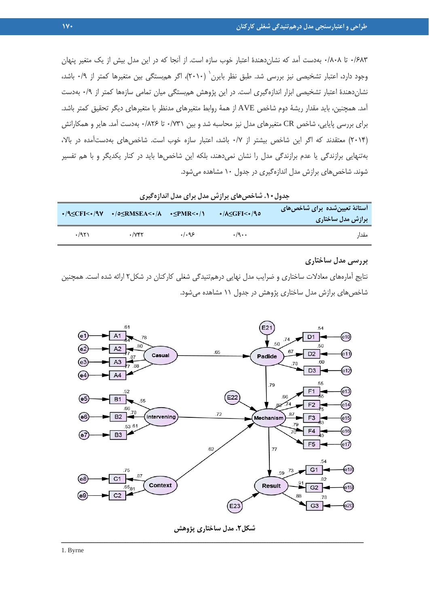۶۸۳/۰ تا ۰/۶۸۲ بهدست آمد كه نشان دهندهٔ اعتبار خوب سازه است. از آنجا كه در اين مدل بيش از يك متغير پنهان وجود دارد، اعتبار تشخیصی نیز بررسی شد. طبق نظر بایرن<sup>٬</sup> (۲۰۱۰)، اگر هم<sub>ا</sub>بستگی بین متغیرها کمتر از ۰/۹ باشد، نشاندهندة اعتبار تشخيصي ابزار اندازهگيري است. در اين پژوهش همبستگي ميان تمامي سازهها كمتر از 0/9 بهدست آمد. همچنين، بايد مقدار ريشة دوم شاخص AVE از همة روابط متغيرهاي مدنظر با متغيرهاي ديگر تحقيق كمتر باشد. براي بررسي پايايي، شاخص CR متغيرهاي مدل نيز محاسبه شد و بين 0/731 تا 0/826 بهدست آمد. هاير و همكارانش (2014) معتقدند كه اگر اين شاخص بيشتر از 0/7 باشد، اعتبار سازه خوب است. شاخصهاي بهدستآمده در بالا، بهتنهايي برازندگي يا عدم برازندگي مدل را نشان نميدهند، بلكه اين شاخصها بايد در كنار يكديگر و با هم تفسير شوند. شاخصهاي برازش مدل اندازهگيري در جدول 10 مشاهده ميشود.

|      | $\cdot$ /9 $\leq$ CFI< $\cdot$ /9 $\vee$ $\cdot$ /0 $\leq$ RMSEA< $\cdot$ /A $\cdot$ $\leq$ PMR< $\cdot$ / |       | $\cdot$ /A $\leq$ GFI $\lt\star$ /90 | <b>آستانهٔ تعیینشده برای شاخصهای</b><br>برازش مدل ساختاری |
|------|------------------------------------------------------------------------------------------------------------|-------|--------------------------------------|-----------------------------------------------------------|
| .791 | $\cdot$ / $\vee$ ۴۲                                                                                        | .1.95 | $\cdot$ /9 $\cdot$ $\cdot$           | مقدا،                                                     |

**جدول.10 شاخصهاي برازش مدل براي مدل اندازهگيري** 

#### **بررسي مدل ساختاري**

نتايج آمارههاي معادلات ساختاري و ضرايب مدل نهايي درهمتنيدگي شغلي كاركنان در شكل2 ارائه شده است. همچنين شاخصهاي برازش مدل ساختاري پژوهش در جدول 11 مشاهده ميشود.



**شكل.2 مدل ساختاري پژوهش**  ــــــــــــــــــــــــــــــــــــــــــــــــــــــــــــــــــــــــــــــــــــــــــــــــــــــــــــــــــــــــــــــــــــ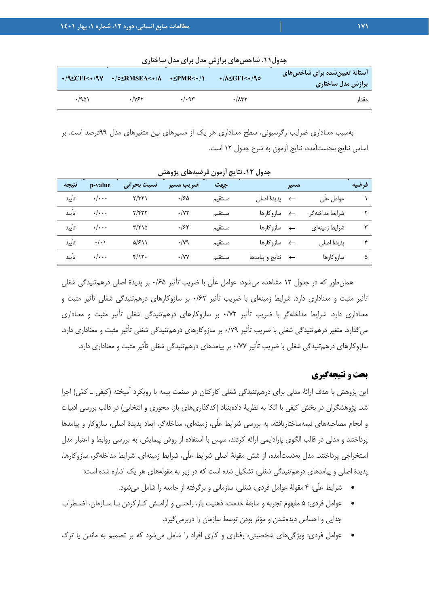| $\cdot$ /9 <cfi<<math>\cdot/9<math>\vee</math></cfi<<math> | $\rightarrow$ /0 $\leq$ RMSEA< $\rightarrow$ /A $\rightarrow$ $\leq$ PMR< $\rightarrow$ / |     | $\cdot$ /A $\leq$ GFI $\leq\cdot$ /90 | <b>ٔ آستانهٔ تعیینِ</b> شده برای شاخصهای<br>برازش مدل ساختاری |
|------------------------------------------------------------|-------------------------------------------------------------------------------------------|-----|---------------------------------------|---------------------------------------------------------------|
| ۱۵۸۰ و                                                     | ۰/۷۶۲                                                                                     | .49 | $\cdot$ / $\wedge$ ۳۲                 | مقدا،                                                         |

**جدول.11 شاخصهاي برازش مدل براي مدل ساختاري** 

بهسبب معناداري ضرايب رگرسيوني، سطح معناداري هر يك از مسيرهاي بين متغيرهاي مدل 99درصد است. بر اساس نتايج بهدستآمده، نتايج آزمون به شرح جدول 12 است.

| نتيجه | p-value                 | نسبت بحراني                 | ضريب مسير   | جهت    |                      | مسير         |                | فرضيه |
|-------|-------------------------|-----------------------------|-------------|--------|----------------------|--------------|----------------|-------|
| تأييد | $\cdot/\cdot\cdot$      | $\gamma/\gamma\gamma$       | ۱۶۵.        | مستقيم | ← پديدۂ اصل <i>ى</i> |              | عوامل علّى     |       |
| تأييد | $\cdot/\cdot\cdot\cdot$ | $\gamma/\gamma\gamma\gamma$ | $\cdot$ /YY | مستقيم | ساز و کار ها         | $\leftarrow$ | شرايط مداخلهگر |       |
| تأييد | $\cdot/\cdot\cdot\cdot$ | ۲/۲۱۵                       | .755        | مستقيم | ← سازوکارها          |              | شرايط زمينهاى  |       |
| تأىيد | $\cdot/\cdot$           | $\Delta$ /۶۱۱               | $\cdot$ /yq | مستقيم | <b>ے سازوکارھا</b>   |              | پدیدهٔ اصلی    | ۴     |
| تأىد  | $\cdot/\cdot\cdot$      | $f/\gamma$ .                | $\cdot$ /YY | مستقيم | ← نتايج و پيامدها    |              | سازو کارها     | ۵     |

**جدول .12 نتايج آزمون فرضيههاي پژوهش** 

همانطور كه در جدول 12 مشاهده ميشود، عوامل علّي با ضريب تأثير 0/65 بر پديدة اصلي درهمتنيدگي شغلي تأثير مثبت و معناداري دارد. شرايط زمينهاي با ضريب تأثير 0/62 بر سازوكارهاي درهمتنيدگي شغلي تأثير مثبت و معناداري دارد. شرايط مداخلهگر با ضريب تأثير 0/72 بر سازوكارهاي درهمتنيدگي شغلي تأثير مثبت و معناداري ميگذارد. متغير درهمتنيدگي شغلي با ضريب تأثير 0/79 بر سازوكارهاي درهمتنيدگي شغلي تأثير مثبت و معناداري دارد. سازوكارهاي درهمتنيدگي شغلي با ضريب تأثير 0/77 بر پيامدهاي درهمتنيدگي شغلي تأثير مثبت و معناداري دارد.

### **بحث و نتيجهگيري**

اين پژوهش با هدف ارائة مدلي براي درهمتنيدگي شغلي كاركنان در صنعت بيمه با رويكرد آميخته (كيفي ـ كمي) اجرا شد. پژوهشگران در بخش كيفي با اتكا به نظرية دادهبنياد (كدگذاريهاي باز، محوري و انتخابي) در قالب بررسي ادبيات و انجام مصاحبههاي نيمهساختاريافته، به بررسي شرايط علّي، زمينهاي، مداخلهگر، ابعاد پديدة اصلي، سازوكار و پيامدها پرداختند و مدلي در قالب الگوي پارادايمي ارائه كردند، سپس با استفاده از روش پيمايش، به بررسي روابط و اعتبار مدل استخراجي پرداختند. مدل بهدستآمده، از شش مقولة اصلي شرايط علّي، شرايط زمينهاي، شرايط مداخلهگر، سازوكارها، پديدة اصلي و پيامدهاي درهمتنيدگي شغلي، تشكيل شده است كه در زير به مقولههاي هر يك اشاره شده است:

- شرايط علّي: 4 مقولة عوامل فردي، شغلي، سازماني و برگرفته از جامعه را شامل ميشود.
- عوامل فردي: 5 مفهوم تجربه و سابقة خدمت، ذهنيت باز، راحتـي و آرامـش كـاركردن بـا سـازمان، اضـطراب جدايي و احساس ديدهشدن و مؤثر بودن توسط سازمان را دربرميگيرد.
- عوامل فردي: ويژگيهاي شخصيتي، رفتاري و كاري افراد را شامل ميشود كه بر تصميم به ماندن يا ترك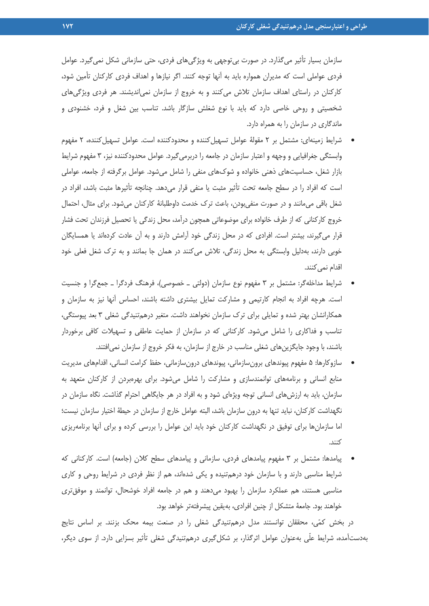سازمان بسيار تأثير ميگذارد. در صورت بيتوجهي به ويژگيهاي فردي، حتي سازماني شكل نميگيرد. عوامل فردي عواملي است كه مديران همواره بايد به آنها توجه كنند. اگر نيازها و اهداف فردي كاركنان تأمين شود، كاركنان در راستاي اهداف سازمان تلاش ميكنند و به خروج از سازمان نميانديشند. هر فردي ويژگيهاي شخصيتي و روحي خاصي دارد كه بايد با نوع شغلش سازگار باشد. تناسب بين شغل و فرد، خشنودي و ماندگاري در سازمان را به همراه دارد.

- شرايط زمينهاي: مشتمل بر 2 مقولة عوامل تسهيلكننده و محدودكننده است. عوامل تسهيلكننده، 2 مفهوم وابستگي جغرافيايي و وجهه و اعتبار سازمان در جامعه را دربرميگيرد. عوامل محدودكننده نيز، 3 مفهوم شرايط بازار شغل، حساسيتهاي ذهني خانواده و شوكهاي منفي را شامل ميشود. عوامل برگرفته از جامعه، عواملي است كه افراد را در سطح جامعه تحت تأثير مثبت يا منفي قرار ميدهد. چنانچه تأثيرها مثبت باشد، افراد در شغل باقي ميمانند و در صورت منفيبودن، باعث ترك خدمت داوطلبانة كاركنان ميشود. براي مثال، احتمال خروج كاركناني كه از طرف خانواده براي موضوعاتي همچون درآمد، محل زندگي يا تحصيل فرزندان تحت فشار قرار ميگيرند، بيشتر است. افرادي كه در محل زندگي خود آرامش دارند و به آن عادت كردهاند يا همسايگان خوبي دارند، بهدليل وابستگي به محل زندگي، تلاش ميكنند در همان جا بمانند و به ترك شغل فعلي خود اقدام نمي كنند.
- شرايط مداخلهگر: مشتمل بر 3 مفهوم نوع سازمان (دولتي ـ خصوصي)، فرهنگ فردگرا ـ جمعگرا و جنسيت است. هرچه افراد به انجام كارتيمي و مشاركت تمايل بيشتري داشته باشند، احساس آنها نيز به سازمان و همكارانشان بهتر شده و تمايلي براي ترك سازمان نخواهند داشت. متغير درهمتنيدگي شغلي 3 بعد پيوستگي، تناسب و فداكاري را شامل ميشود. كاركناني كه در سازمان از حمايت عاطفي و تسهيلات كافي برخوردار باشند، با وجود جايگزينهاي شغلي مناسب در خارج از سازمان، به فكر خروج از سازمان نميافتند.
- سازوكارها: 5 مفهوم پيوندهاي برونسازماني، پيوندهاي درونسازماني، حفظ كرامت انساني، اقدامهاي مديريت منابع انساني و برنامههاي توانمندسازي و مشاركت را شامل ميشود. براي بهرهبردن از كاركنان متعهد به سازمان، بايد به ارزشهاي انساني توجه ويژهاي شود و به افراد در هر جايگاهي احترام گذاشت. نگاه سازمان در نگهداشت كاركنان، نبايد تنها به درون سازمان باشد، البته عوامل خارج از سازمان در حيطة اختيار سازمان نيست؛ اما سازمانها براي توفيق در نگهداشت كاركنان خود بايد اين عوامل را بررسي كرده و براي آنها برنامهريزي كنند.
- پيامدها: مشتمل بر 3 مفهوم پيامدهاي فردي، سازماني و پيامدهاي سطح كلان (جامعه) است. كاركناني كه شرايط مناسبي دارند و با سازمان خود درهمتنيده و يكي شدهاند، هم از نظر فردي در شرايط روحي و كاري مناسبي هستند، هم عملكرد سازمان را بهبود ميدهند و هم در جامعه افراد خوشحال، توانمند و موفقتري خواهند بود. جامعة متشكل از چنين افرادي، بهيقين پيشرفتهتر خواهد بود.

در بخش كمي، محققان توانستند مدل درهمتنيدگي شغلي را در صنعت بيمه محك بزنند. بر اساس نتايج بهدستآمده، شرايط علّي بهعنوان عوامل اثرگذار، بر شكلگيري درهمتنيدگي شغلي تأثير بسزايي دارد. از سوي ديگر،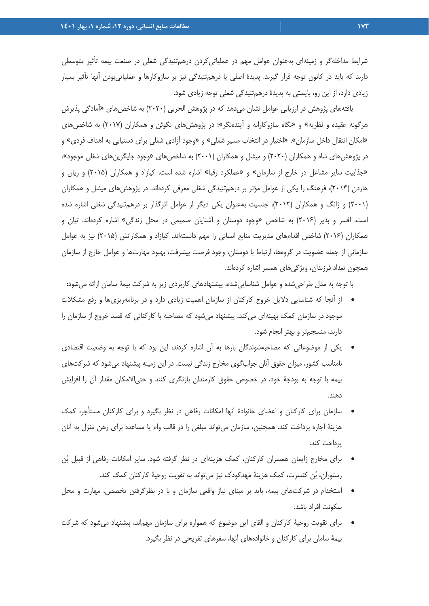شرايط مداخلهگر و زمينهاي بهعنوان عوامل مهم در عملياتيكردن درهمتنيدگي شغلي در صنعت بيمه تأثير متوسطي دارند كه بايد در كانون توجه قرار گيرند. پديدة اصلي يا درهمتنيدگي نيز بر سازوكارها و عملياتيبودن آنها تأثير بسيار زيادي دارد، از اين رو، بايستي به پديدة درهمتنيدگي شغلي توجه زيادي شود.

يافتههاي پژوهش در ارزيابي عوامل نشان ميدهد كه در پژوهش الحربي (2020) به شاخصهاي «آمادگي پذيرش هرگونه عقيده و نظريه» و «نگاه سازوكارانه و آيندهنگر»؛ در پژوهشهاي نگوئن و همكاران (2017) به شاخصهاي «امكان انتقال داخل سازمان»، «اختيار در انتخاب مسير شغلي» و «وجود آزادي شغلي براي دستيابي به اهداف فردي» و در پژوهشهاي شاه و همكاران (2020) و ميشل و همكاران (2001) به شاخصهاي «وجود جايگزينهاي شغلي موجود»، «جذابيت ساير مشاغل در خارج از سازمان» و «عملكرد رقبا» اشاره شده است. كيازاد و همكاران (2015) و ريان و هاردن (2014)، فرهنگ را يكي از عوامل مؤثر بر درهمتنيدگي شغلي معرفي كردهاند. در پژوهشهاي ميشل و همكاران (2001) و ژانگ و همكاران (2012)، جنسيت بهعنوان يكي ديگر از عوامل اثرگذار بر درهمتنيدگي شغلي اشاره شده است. افسر و بدير (2016) به شاخص «وجود دوستان و آشنايان صميمي در محل زندگي» اشاره كردهاند. تيان و همكاران (2016) شاخص اقدامهاي مديريت منابع انساني را مهم دانستهاند. كيازاد و همكارانش (2015) نيز به عوامل سازماني از جمله عضويت در گروهها، ارتباط با دوستان، وجود فرصت پيشرفت، بهبود مهارتها و عوامل خارج از سازمان همچون تعداد فرزندان، ويژگيهاي همسر اشاره كردهاند.

با توجه به مدل طراحيشده و عوامل شناساييشده، پيشنهادهاي كاربردي زير به شركت بيمة سامان ارائه ميشود:

- از آنجا كه شناسايي دلايل خروج كاركنان از سازمان اهميت زيادي دارد و در برنامهريزيها و رفع مشكلات موجود در سازمان كمك بهينهاي ميكند، پيشنهاد ميشود كه مصاحبه با كاركناني كه قصد خروج از سازمان را دارند، منسجمتر و بهتر انجام شود.
- يكي از موضوعاتي كه مصاحبهشوندگان بارها به آن اشاره كردند، اين بود كه با توجه به وضعيت اقتصادي نامناسب كشور، ميزان حقوق آنان جوابگوي مخارج زندگي نيست. در اين زمينه پيشنهاد ميشود كه شركتهاي بيمه با توجه به بودجة خود، در خصوص حقوق كارمندان بازنگري كنند و حتيالامكان مقدار آن را افزايش دهند.
- سازمان براي كاركنان و اعضاي خانوادة آنها امكانات رفاهي در نظر بگيرد و براي كاركنان مستأجر، كمك هزينة اجاره پرداخت كند. همچنين، سازمان ميتواند مبلغي را در قالب وام يا مساعده براي رهن منزل به آنان پرداخت كند.
- براي مخارج زايمان همسران كاركنان، كمك هزينهاي در نظر گرفته شود. ساير امكانات رفاهي از قبيل بن رستوران، بن كنسرت، كمك هزينة مهدكودك نيز ميتواند به تقويت روحية كاركنان كمك كند.
- استخدام در شركتهاي بيمه، بايد بر مبناي نياز واقعي سازمان و با در نظرگرفتن تخصص، مهارت و محل سكونت افراد باشد.
- براي تقويت روحية كاركنان و القاي اين موضوع كه همواره براي سازمان مهماند، پيشنهاد ميشود كه شركت بيمة سامان براي كاركنان و خانوادههاي آنها، سفرهاي تفريحي در نظر بگيرد.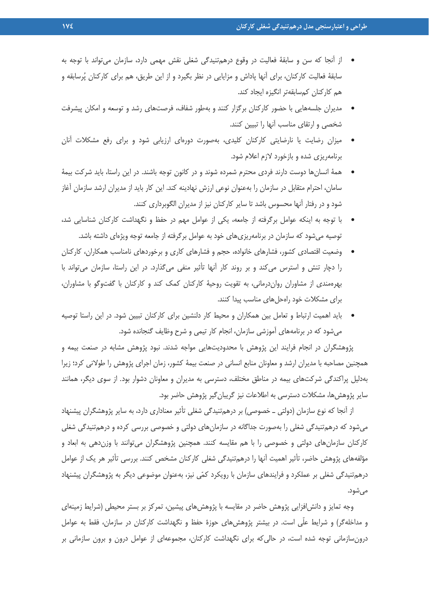- از آنجا كه سن و سابقة فعاليت در وقوع درهمتنيدگي شغلي نقش مهمي دارد، سازمان ميتواند با توجه به سابقة فعاليت كاركنان، براي آنها پاداش و مزايايي در نظر بگيرد و از اين طريق، هم براي كاركنان پرسابقه و هم كاركنان كمسابقهتر انگيزه ايجاد كند.
- مديران جلسههايي با حضور كاركنان برگزار كنند و بهطور شفاف، فرصتهاي رشد و توسعه و امكان پيشرفت شخصي و ارتقاي مناسب آنها را تبيين كنند.
- ميزان رضايت يا نارضايتي كاركنان كليدي، بهصورت دورهاي ارزيابي شود و براي رفع مشكلات آنان برنامهريزي شده و بازخورد لازم اعلام شود.
- همة انسانها دوست دارند فردي محترم شمرده شوند و در كانون توجه باشند. در اين راستا، بايد شركت بيمة سامان، احترام متقابل در سازمان را بهعنوان نوعي ارزش نهادينه كند. اين كار بايد از مديران ارشد سازمان آغاز شود و در رفتار آنها محسوس باشد تا ساير كاركنان نيز از مديران الگوبرداري كنند.
- با توجه به اينكه عوامل برگرفته از جامعه، يكي از عوامل مهم در حفظ و نگهداشت كاركنان شناسايي شد، توصيه ميشود كه سازمان در برنامهريزيهاي خود به عوامل برگرفته از جامعه توجه ويژهاي داشته باشد.
- وضعيت اقتصادي كشور، فشارهاي خانواده، حجم و فشارهاي كاري و برخوردهاي نامناسب همكاران، كاركنان را دچار تنش و استرس ميكند و بر روند كار آنها تأثير منفي ميگذارد. در اين راستا، سازمان ميتواند با بهرهمندي از مشاوران رواندرماني، به تقويت روحية كاركنان كمك كند و كاركنان با گفتوگو با مشاوران، براي مشكلات خود راهحلهاي مناسب پيدا كنند.
- بايد اهميت ارتباط و تعامل بين همكاران و محيط كار دلنشين براي كاركنان تبيين شود. در اين راستا توصيه ميشود كه در برنامههاي آموزشي سازمان، انجام كار تيمي و شرح وظايف گنجانده شود.

پژوهشگران در انجام فرايند اين پژوهش با محدوديتهايي مواجه شدند. نبود پژوهش مشابه در صنعت بيمه و همچنين مصاحبه با مديران ارشد و معاونان منابع انساني در صنعت بيمة كشور، زمان اجراي پژوهش را طولاني كرد؛ زيرا بهدليل پراكندگي شركتهاي بيمه در مناطق مختلف، دسترسي به مديران و معاونان دشوار بود. از سوي ديگر، همانند ساير پژوهشها، مشكلات دسترسي به اطلاعات نيز گريبانگير پژوهش حاضر بود.

از آنجا كه نوع سازمان (دولتي ـ خصوصي) بر درهمتنيدگي شغلي تأثير معناداري دارد، به ساير پژوهشگران پيشنهاد ميشود كه درهمتنيدگي شغلي را بهصورت جداگانه در سازمانهاي دولتي و خصوصي بررسي كرده و درهمتنيدگي شغلي كاركنان سازمانهاي دولتي و خصوصي را با هم مقايسه كنند. همچنين پژوهشگران ميتوانند با وزندهي به ابعاد و مؤلفههاي پژوهش حاضر، تأثير اهميت آنها را درهمتنيدگي شغلي كاركنان مشخص كنند. بررسي تأثير هر يك از عوامل درهمتنيدگي شغلي بر عملكرد و فرايندهاي سازمان با رويكرد كمي نيز، بهعنوان موضوعي ديگر به پژوهشگران پيشنهاد ميشود.

وجه تمايز و دانشافزايي پژوهش حاضر در مقايسه با پژوهشهاي پيشين، تمركز بر بستر محيطي (شرايط زمينهاي و مداخلهگر) و شرايط علّي است. در بيشتر پژوهشهاي حوزة حفظ و نگهداشت كاركنان در سازمان، فقط به عوامل درونسازماني توجه شده است، در حاليكه براي نگهداشت كاركنان، مجموعهاي از عوامل درون و برون سازماني بر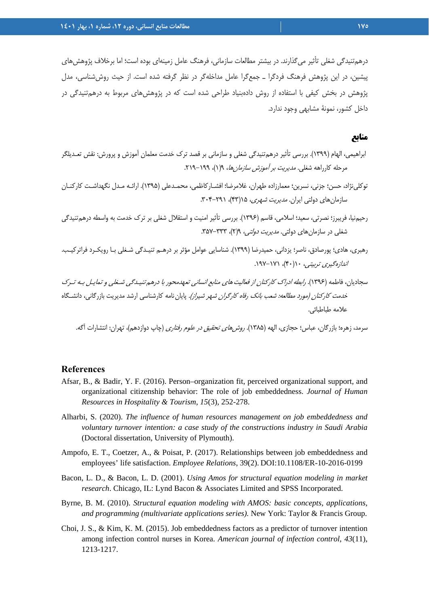درهمتنيدگي شغلي تأثير ميگذارند. در بيشتر مطالعات سازماني، فرهنگ عامل زمينهاي بوده است؛ اما برخلاف پژوهشهاي پيشين، در اين پژوهش فرهنگ فردگرا ـ جمعگرا عامل مداخلهگر در نظر گرفته شده است. از حيث روششناسي، مدل پژوهش در بخش كيفي با استفاده از روش دادهبنياد طراحي شده است كه در پژوهشهاي مربوط به درهمتنيدگي در داخل كشور، نمونة مشابهي وجود ندارد.

## **منابع**

- ابراهيمي، الهام (1399). بررسي تأثير درهمتنيدگي شغلي و سازماني بر قصد ترك خدمت معلمان آموزش و پرورش: نقش تعـديلگر مرحله كارراهه شغلي. *مديريت بر آموزش سازمان ها، ١٩(١)، ١٩٩–٢١٩.*
- توكلينژاد، حسن؛ جزني، نسرين؛ معمارزاده طهران، غلامرضا؛ افشـاركاظمي، محمـدعلي (1395). ارائـه مـدل نگهداشـت كاركنـان سازمان هاي دولتي ايران. *مديريت شهري، ۱۵(*۴۳)، ۳۰۲-۳۰۴.
- رحيمنيا، فريبرز؛ نصرتي، سعيد؛ اسلامي، قاسم (1396). بررسي تأثير امنيت و استقلال شغلي بر ترك خدمت به واسطه درهمتنيدگي شغلي در سازمان هاي دولتي. *مديريت دولتي، ٢*(٢)، ٣٣٣-٣۵٧.
- رهبري، هادي؛ پورصادق، ناصر؛ يزداني، حميدرضا (1399). شناسايي عوامل مؤثر بر درهـم تنيـدگي شـغلي بـا رويكـرد فراتركيـب. اندازهگيري تربيتي، 10(40)، .197-171
- سجاديان، فاطمه (۱۳۹۶). ر*ابطه ادراك كاركنان از فعاليت هاي منابع انساني تعهدمحور با د*رهم *تنيـدگي شـغلي و تمايـل بـه تـر*ك خدمت كاركنان (مورد مطالعه: شعب بانك رفاه كارگران شهر شيراز). پاياننامه كارشناسي ارشد مديريت بازرگاني، دانشـگاه علامه طباطبائي.

سرمد، زهره؛ بازرگان، عباس؛ حجازي، الهه (۱۳۸۵). *روشهاي تحقيق در علوم رفتاري* (چاپ دوازدهم)، تهران: انتشارات آگه.

#### **References**

- Afsar, B., & Badir, Y. F. (2016). Person–organization fit, perceived organizational support, and organizational citizenship behavior: The role of job embeddedness. *Journal of Human Resources in Hospitality & Tourism*, *15*(3), 252-278.
- Alharbi, S. (2020). *The influence of human resources management on job embeddedness and voluntary turnover intention: a case study of the constructions industry in Saudi Arabia* (Doctoral dissertation, University of Plymouth).
- Ampofo, E. T., Coetzer, A., & Poisat, P. (2017). Relationships between job embeddedness and employees' life satisfaction. *Employee Relations*, 39(2). DOI:10.1108/ER-10-2016-0199
- Bacon, L. D., & Bacon, L. D. (2001). *Using Amos for structural equation modeling in market research*. Chicago, IL: Lynd Bacon & Associates Limited and SPSS Incorporated.
- Byrne, B. M. (2010). *Structural equation modeling with AMOS: basic concepts, applications, and programming (multivariate applications series).* New York: Taylor & Francis Group.
- Choi, J. S., & Kim, K. M. (2015). Job embeddedness factors as a predictor of turnover intention among infection control nurses in Korea. *American journal of infection control*, *43*(11), 1213-1217.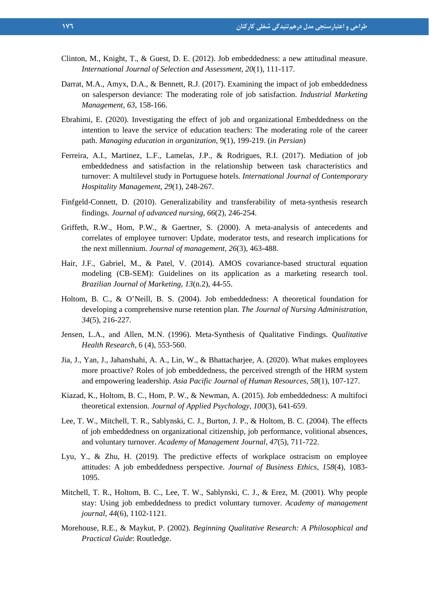- Clinton, M., Knight, T., & Guest, D. E. (2012). Job embeddedness: a new attitudinal measure. *International Journal of Selection and Assessment*, *20*(1), 111-117.
- Darrat, M.A., Amyx, D.A., & Bennett, R.J. (2017). Examining the impact of job embeddedness on salesperson deviance: The moderating role of job satisfaction. *Industrial Marketing Management*, *63*, 158-166.
- Ebrahimi, E. (2020). Investigating the effect of job and organizational Embeddedness on the intention to leave the service of education teachers: The moderating role of the career path. *Managing education in organization*, 9(1), 199-219. (*in Persian*)
- Ferreira, A.I., Martinez, L.F., Lamelas, J.P., & Rodrigues, R.I. (2017). Mediation of job embeddedness and satisfaction in the relationship between task characteristics and turnover: A multilevel study in Portuguese hotels. *International Journal of Contemporary Hospitality Management*, *29*(1), 248-267.
- Finfgeld‐Connett, D. (2010). Generalizability and transferability of meta‐synthesis research findings. *Journal of advanced nursing*, *66*(2), 246-254.
- Griffeth, R.W., Hom, P.W., & Gaertner, S. (2000). A meta-analysis of antecedents and correlates of employee turnover: Update, moderator tests, and research implications for the next millennium. *Journal of management*, *26*(3), 463-488.
- Hair, J.F., Gabriel, M., & Patel, V. (2014). AMOS covariance-based structural equation modeling (CB-SEM): Guidelines on its application as a marketing research tool. *Brazilian Journal of Marketing*, *13*(n.2), 44-55.
- Holtom, B. C., & O'Neill, B. S. (2004). Job embeddedness: A theoretical foundation for developing a comprehensive nurse retention plan. *The Journal of Nursing Administration*, *34*(5), 216-227.
- Jensen, L.A., and Allen, M.N. (1996). Meta-Synthesis of Qualitative Findings. *Qualitative Health Research,* 6 (4), 553-560.
- Jia, J., Yan, J., Jahanshahi, A. A., Lin, W., & Bhattacharjee, A. (2020). What makes employees more proactive? Roles of job embeddedness, the perceived strength of the HRM system and empowering leadership. *Asia Pacific Journal of Human Resources*, *58*(1), 107-127.
- Kiazad, K., Holtom, B. C., Hom, P. W., & Newman, A. (2015). Job embeddedness: A multifoci theoretical extension. *Journal of Applied Psychology*, *100*(3), 641-659.
- Lee, T. W., Mitchell, T. R., Sablynski, C. J., Burton, J. P., & Holtom, B. C. (2004). The effects of job embeddedness on organizational citizenship, job performance, volitional absences, and voluntary turnover. *Academy of Management Journal*, *47*(5), 711-722.
- Lyu, Y., & Zhu, H. (2019). The predictive effects of workplace ostracism on employee attitudes: A job embeddedness perspective. *Journal of Business Ethics*, *158*(4), 1083- 1095.
- Mitchell, T. R., Holtom, B. C., Lee, T. W., Sablynski, C. J., & Erez, M. (2001). Why people stay: Using job embeddedness to predict voluntary turnover. *Academy of management journal*, *44*(6), 1102-1121.
- Morehouse, R.E., & Maykut, P. (2002). *Beginning Qualitative Research: A Philosophical and Practical Guide*: Routledge.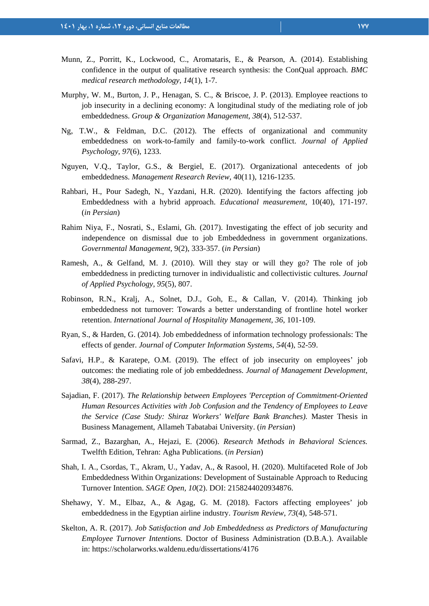- Munn, Z., Porritt, K., Lockwood, C., Aromataris, E., & Pearson, A. (2014). Establishing confidence in the output of qualitative research synthesis: the ConQual approach. *BMC medical research methodology*, *14*(1), 1-7.
- Murphy, W. M., Burton, J. P., Henagan, S. C., & Briscoe, J. P. (2013). Employee reactions to job insecurity in a declining economy: A longitudinal study of the mediating role of job embeddedness. *Group & Organization Management*, *38*(4), 512-537.
- Ng, T.W., & Feldman, D.C. (2012). The effects of organizational and community embeddedness on work-to-family and family-to-work conflict. *Journal of Applied Psychology*, *97*(6), 1233.
- Nguyen, V.Q., Taylor, G.S., & Bergiel, E. (2017). Organizational antecedents of job embeddedness. *Management Research Review*, 40(11), 1216-1235.
- Rahbari, H., Pour Sadegh, N., Yazdani, H.R. (2020). Identifying the factors affecting job Embeddedness with a hybrid approach. *Educational measurement*, 10(40), 171-197. (*in Persian*)
- Rahim Niya, F., Nosrati, S., Eslami, Gh. (2017). Investigating the effect of job security and independence on dismissal due to job Embeddedness in government organizations. *Governmental Management*, 9(2), 333-357. (*in Persian*)
- Ramesh, A., & Gelfand, M. J. (2010). Will they stay or will they go? The role of job embeddedness in predicting turnover in individualistic and collectivistic cultures. *Journal of Applied Psychology*, *95*(5), 807.
- Robinson, R.N., Kralj, A., Solnet, D.J., Goh, E., & Callan, V. (2014). Thinking job embeddedness not turnover: Towards a better understanding of frontline hotel worker retention. *International Journal of Hospitality Management*, *36*, 101-109.
- Ryan, S., & Harden, G. (2014). Job embeddedness of information technology professionals: The effects of gender. *Journal of Computer Information Systems*, *54*(4), 52-59.
- Safavi, H.P., & Karatepe, O.M. (2019). The effect of job insecurity on employees' job outcomes: the mediating role of job embeddedness. *Journal of Management Development*, *38*(4), 288-297.
- Sajadian, F. (2017). *The Relationship between Employees 'Perception of Commitment-Oriented Human Resources Activities with Job Confusion and the Tendency of Employees to Leave the Service (Case Study: Shiraz Workers' Welfare Bank Branches).* Master Thesis in Business Management, Allameh Tabatabai University. (*in Persian*)
- Sarmad, Z., Bazarghan, A., Hejazi, E. (2006). *Research Methods in Behavioral Sciences.*  Twelfth Edition, Tehran: Agha Publications. (*in Persian*)
- Shah, I. A., Csordas, T., Akram, U., Yadav, A., & Rasool, H. (2020). Multifaceted Role of Job Embeddedness Within Organizations: Development of Sustainable Approach to Reducing Turnover Intention. *SAGE Open*, *10*(2). DOI: 2158244020934876.
- Shehawy, Y. M., Elbaz, A., & Agag, G. M. (2018). Factors affecting employees' job embeddedness in the Egyptian airline industry. *Tourism Review*, *73*(4), 548-571.
- Skelton, A. R. (2017). *Job Satisfaction and Job Embeddedness as Predictors of Manufacturing Employee Turnover Intentions.* Doctor of Business Administration (D.B.A.). Available in: https://scholarworks.waldenu.edu/dissertations/4176